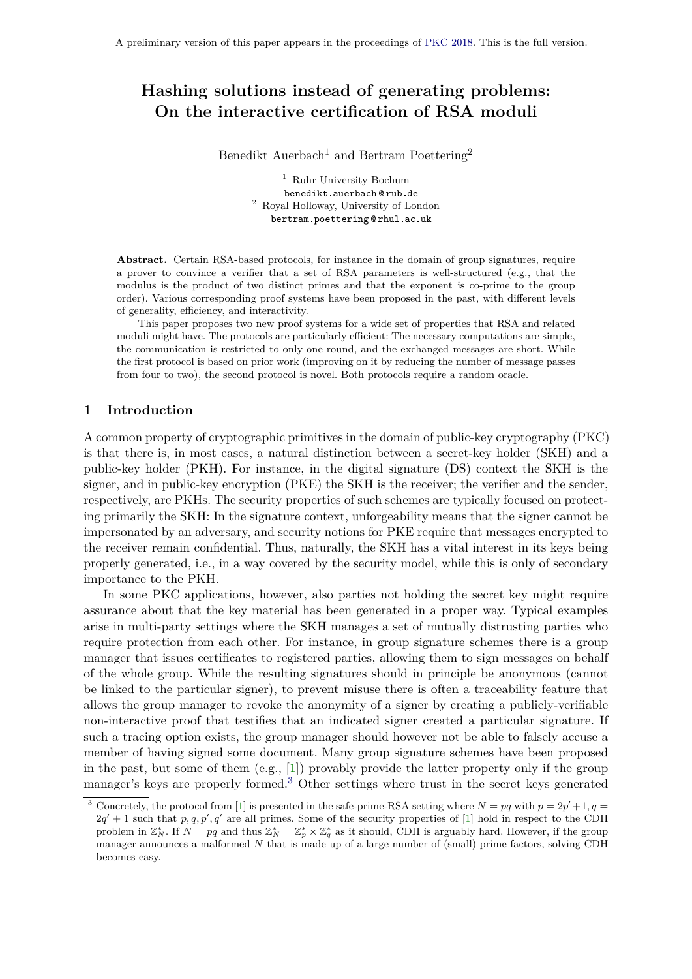# **Hashing solutions instead of generating problems: On the interactive certification of RSA moduli**

Benedikt Auerbach<sup>1</sup> and Bertram Poettering<sup>2</sup>

<sup>1</sup> Ruhr University Bochum benedikt auerbach @ rub de <sup>2</sup> Royal Holloway, University of London bertram poettering @ rhul ac uk

**Abstract.** Certain RSA-based protocols, for instance in the domain of group signatures, require a prover to convince a verifier that a set of RSA parameters is well-structured (e.g., that the modulus is the product of two distinct primes and that the exponent is co-prime to the group order). Various corresponding proof systems have been proposed in the past, with different levels of generality, efficiency, and interactivity.

This paper proposes two new proof systems for a wide set of properties that RSA and related moduli might have. The protocols are particularly efficient: The necessary computations are simple, the communication is restricted to only one round, and the exchanged messages are short. While the first protocol is based on prior work (improving on it by reducing the number of message passes from four to two), the second protocol is novel. Both protocols require a random oracle.

## **1 Introduction**

A common property of cryptographic primitives in the domain of public-key cryptography (PKC) is that there is, in most cases, a natural distinction between a secret-key holder (SKH) and a public-key holder (PKH). For instance, in the digital signature (DS) context the SKH is the signer, and in public-key encryption (PKE) the SKH is the receiver; the verifier and the sender, respectively, are PKHs. The security properties of such schemes are typically focused on protecting primarily the SKH: In the signature context, unforgeability means that the signer cannot be impersonated by an adversary, and security notions for PKE require that messages encrypted to the receiver remain confidential. Thus, naturally, the SKH has a vital interest in its keys being properly generated, i.e., in a way covered by the security model, while this is only of secondary importance to the PKH.

In some PKC applications, however, also parties not holding the secret key might require assurance about that the key material has been generated in a proper way. Typical examples arise in multi-party settings where the SKH manages a set of mutually distrusting parties who require protection from each other. For instance, in group signature schemes there is a group manager that issues certificates to registered parties, allowing them to sign messages on behalf of the whole group. While the resulting signatures should in principle be anonymous (cannot be linked to the particular signer), to prevent misuse there is often a traceability feature that allows the group manager to revoke the anonymity of a signer by creating a publicly-verifiable non-interactive proof that testifies that an indicated signer created a particular signature. If such a tracing option exists, the group manager should however not be able to falsely accuse a member of having signed some document. Many group signature schemes have been proposed in the past, but some of them (e.g., [\[1\]](#page-20-0)) provably provide the latter property only if the group manager's keys are properly formed.[3](#page-0-0) Other settings where trust in the secret keys generated

<span id="page-0-0"></span><sup>&</sup>lt;sup>3</sup> Concretely, the protocol from [\[1\]](#page-20-0) is presented in the safe-prime-RSA setting where  $N = pq$  with  $p = 2p' + 1, q =$  $2q' + 1$  such that  $p, q, p', q'$  are all primes. Some of the security properties of [\[1\]](#page-20-0) hold in respect to the CDH problem in  $\mathbb{Z}_N^*$ . If  $N = pq$  and thus  $\mathbb{Z}_N^* = \mathbb{Z}_p^* \times \mathbb{Z}_q^*$  as it should, CDH is arguably hard. However, if the group manager announces a malformed *N* that is made up of a large number of (small) prime factors, solving CDH becomes easy.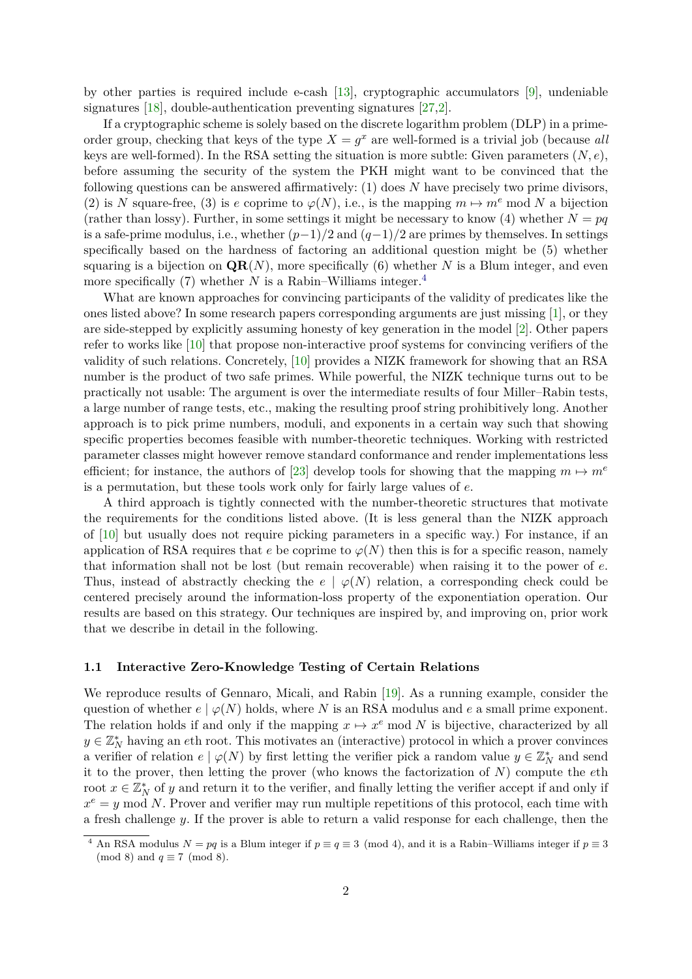by other parties is required include e-cash [\[13\]](#page-20-1), cryptographic accumulators [\[9\]](#page-20-2), undeniable signatures [\[18\]](#page-20-3), double-authentication preventing signatures [\[27,](#page-21-0)[2\]](#page-20-4).

If a cryptographic scheme is solely based on the discrete logarithm problem (DLP) in a primeorder group, checking that keys of the type  $X = g^x$  are well-formed is a trivial job (because *all* keys are well-formed). In the RSA setting the situation is more subtle: Given parameters  $(N, e)$ , before assuming the security of the system the PKH might want to be convinced that the following questions can be answered affirmatively: (1) does *N* have precisely two prime divisors, (2) is *N* square-free, (3) is *e* coprime to  $\varphi(N)$ , i.e., is the mapping  $m \mapsto m^e \mod N$  a bijection (rather than lossy). Further, in some settings it might be necessary to know (4) whether  $N = pq$ is a safe-prime modulus, i.e., whether (*p*−1)*/*2 and (*q*−1)*/*2 are primes by themselves. In settings specifically based on the hardness of factoring an additional question might be (5) whether squaring is a bijection on  $QR(N)$ , more specifically (6) whether *N* is a Blum integer, and even more specifically (7) whether *N* is a Rabin–Williams integer.<sup>[4](#page-1-0)</sup>

What are known approaches for convincing participants of the validity of predicates like the ones listed above? In some research papers corresponding arguments are just missing [\[1\]](#page-20-0), or they are side-stepped by explicitly assuming honesty of key generation in the model [\[2\]](#page-20-4). Other papers refer to works like [\[10\]](#page-20-5) that propose non-interactive proof systems for convincing verifiers of the validity of such relations. Concretely, [\[10\]](#page-20-5) provides a NIZK framework for showing that an RSA number is the product of two safe primes. While powerful, the NIZK technique turns out to be practically not usable: The argument is over the intermediate results of four Miller–Rabin tests, a large number of range tests, etc., making the resulting proof string prohibitively long. Another approach is to pick prime numbers, moduli, and exponents in a certain way such that showing specific properties becomes feasible with number-theoretic techniques. Working with restricted parameter classes might however remove standard conformance and render implementations less efficient; for instance, the authors of [\[23\]](#page-21-1) develop tools for showing that the mapping  $m \mapsto m^e$ is a permutation, but these tools work only for fairly large values of *e*.

A third approach is tightly connected with the number-theoretic structures that motivate the requirements for the conditions listed above. (It is less general than the NIZK approach of [\[10\]](#page-20-5) but usually does not require picking parameters in a specific way.) For instance, if an application of RSA requires that *e* be coprime to  $\varphi(N)$  then this is for a specific reason, namely that information shall not be lost (but remain recoverable) when raising it to the power of *e*. Thus, instead of abstractly checking the  $e \mid \varphi(N)$  relation, a corresponding check could be centered precisely around the information-loss property of the exponentiation operation. Our results are based on this strategy. Our techniques are inspired by, and improving on, prior work that we describe in detail in the following.

## **1.1 Interactive Zero-Knowledge Testing of Certain Relations**

We reproduce results of Gennaro, Micali, and Rabin [\[19\]](#page-20-6). As a running example, consider the question of whether  $e \mid \varphi(N)$  holds, where *N* is an RSA modulus and *e* a small prime exponent. The relation holds if and only if the mapping  $x \mapsto x^e \mod N$  is bijective, characterized by all  $y \in \mathbb{Z}_N^*$  having an *eth* root. This motivates an (interactive) protocol in which a prover convinces a verifier of relation  $e | \varphi(N)$  by first letting the verifier pick a random value  $y \in \mathbb{Z}_N^*$  and send it to the prover, then letting the prover (who knows the factorization of *N*) compute the *e*th root  $x \in \mathbb{Z}_N^*$  of *y* and return it to the verifier, and finally letting the verifier accept if and only if  $x^e = y \mod N$ . Prover and verifier may run multiple repetitions of this protocol, each time with a fresh challenge *y*. If the prover is able to return a valid response for each challenge, then the

<span id="page-1-0"></span><sup>&</sup>lt;sup>4</sup> An RSA modulus  $N = pq$  is a Blum integer if  $p \equiv q \equiv 3 \pmod{4}$ , and it is a Rabin–Williams integer if  $p \equiv 3$ (mod 8) and  $q \equiv 7 \pmod{8}$ .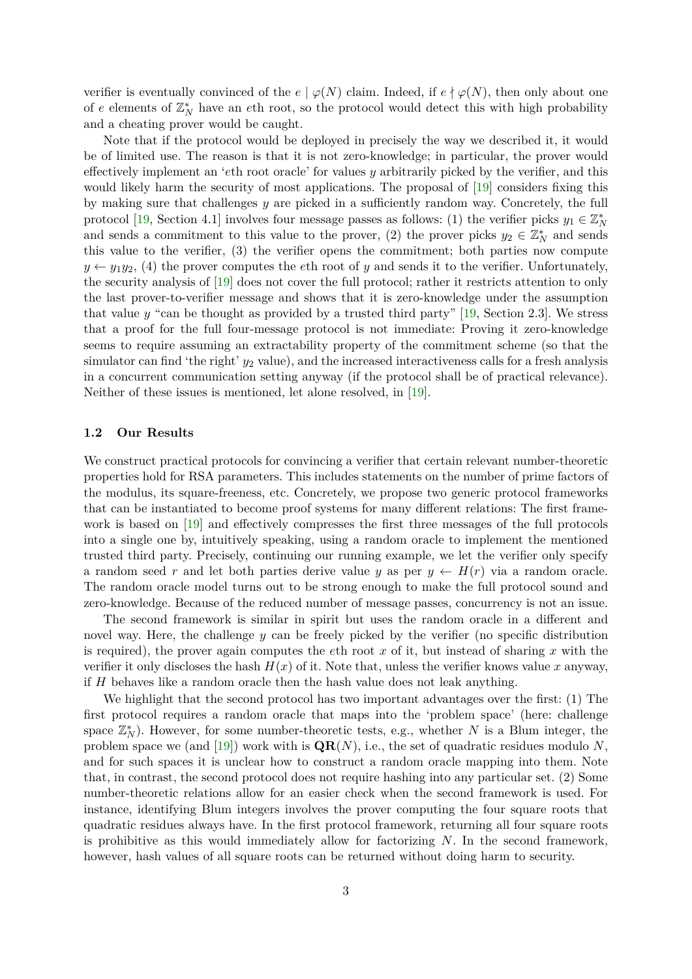verifier is eventually convinced of the  $e \mid \varphi(N)$  claim. Indeed, if  $e \nmid \varphi(N)$ , then only about one of  $e$  elements of  $\mathbb{Z}_N^*$  have an  $e$ th root, so the protocol would detect this with high probability and a cheating prover would be caught.

Note that if the protocol would be deployed in precisely the way we described it, it would be of limited use. The reason is that it is not zero-knowledge; in particular, the prover would effectively implement an '*e*th root oracle' for values *y* arbitrarily picked by the verifier, and this would likely harm the security of most applications. The proposal of [\[19\]](#page-20-6) considers fixing this by making sure that challenges *y* are picked in a sufficiently random way. Concretely, the full protocol [\[19,](#page-20-6) Section 4.1] involves four message passes as follows: (1) the verifier picks  $y_1 \in \mathbb{Z}_N^*$ and sends a commitment to this value to the prover, (2) the prover picks  $y_2 \in \mathbb{Z}_N^*$  and sends this value to the verifier, (3) the verifier opens the commitment; both parties now compute  $y \leftarrow y_1 y_2$ , (4) the prover computes the *e*th root of *y* and sends it to the verifier. Unfortunately, the security analysis of [\[19\]](#page-20-6) does not cover the full protocol; rather it restricts attention to only the last prover-to-verifier message and shows that it is zero-knowledge under the assumption that value *y* "can be thought as provided by a trusted third party" [\[19,](#page-20-6) Section 2.3]. We stress that a proof for the full four-message protocol is not immediate: Proving it zero-knowledge seems to require assuming an extractability property of the commitment scheme (so that the simulator can find 'the right'  $y_2$  value), and the increased interactiveness calls for a fresh analysis in a concurrent communication setting anyway (if the protocol shall be of practical relevance). Neither of these issues is mentioned, let alone resolved, in [\[19\]](#page-20-6).

#### **1.2 Our Results**

We construct practical protocols for convincing a verifier that certain relevant number-theoretic properties hold for RSA parameters. This includes statements on the number of prime factors of the modulus, its square-freeness, etc. Concretely, we propose two generic protocol frameworks that can be instantiated to become proof systems for many different relations: The first frame-work is based on [\[19\]](#page-20-6) and effectively compresses the first three messages of the full protocols into a single one by, intuitively speaking, using a random oracle to implement the mentioned trusted third party. Precisely, continuing our running example, we let the verifier only specify a random seed r and let both parties derive value y as per  $y \leftarrow H(r)$  via a random oracle. The random oracle model turns out to be strong enough to make the full protocol sound and zero-knowledge. Because of the reduced number of message passes, concurrency is not an issue.

The second framework is similar in spirit but uses the random oracle in a different and novel way. Here, the challenge  $y$  can be freely picked by the verifier (no specific distribution is required), the prover again computes the *e*th root *x* of it, but instead of sharing *x* with the verifier it only discloses the hash  $H(x)$  of it. Note that, unless the verifier knows value x anyway, if *H* behaves like a random oracle then the hash value does not leak anything.

We highlight that the second protocol has two important advantages over the first: (1) The first protocol requires a random oracle that maps into the 'problem space' (here: challenge space  $\mathbb{Z}_N^*$ ). However, for some number-theoretic tests, e.g., whether *N* is a Blum integer, the problem space we (and  $[19]$ ) work with is  $\mathbf{QR}(N)$ , i.e., the set of quadratic residues modulo N, and for such spaces it is unclear how to construct a random oracle mapping into them. Note that, in contrast, the second protocol does not require hashing into any particular set. (2) Some number-theoretic relations allow for an easier check when the second framework is used. For instance, identifying Blum integers involves the prover computing the four square roots that quadratic residues always have. In the first protocol framework, returning all four square roots is prohibitive as this would immediately allow for factorizing *N*. In the second framework, however, hash values of all square roots can be returned without doing harm to security.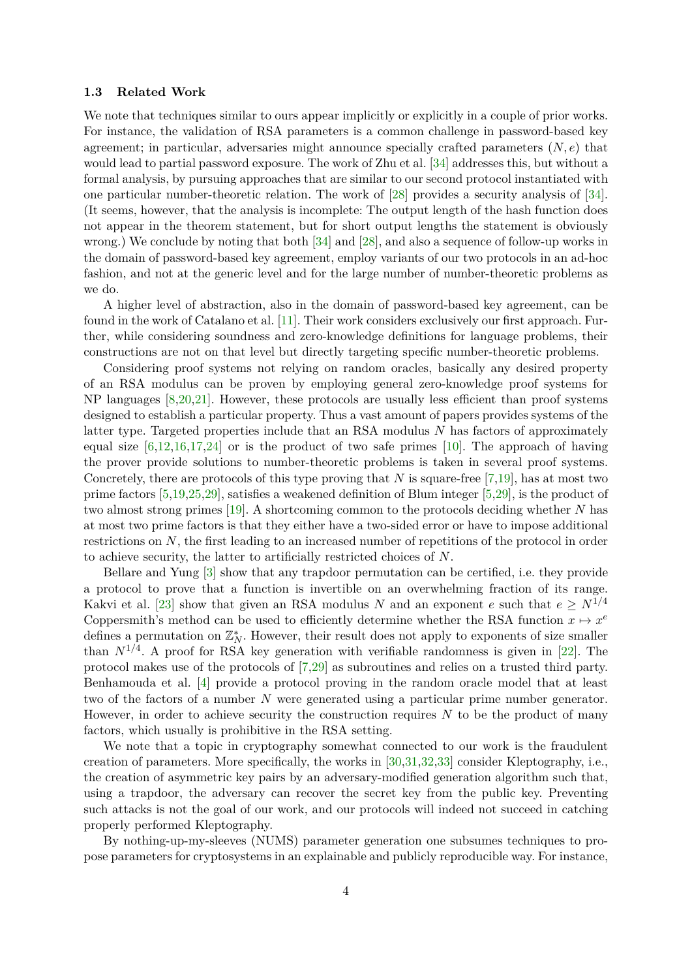#### **1.3 Related Work**

We note that techniques similar to ours appear implicitly or explicitly in a couple of prior works. For instance, the validation of RSA parameters is a common challenge in password-based key agreement; in particular, adversaries might announce specially crafted parameters (*N, e*) that would lead to partial password exposure. The work of Zhu et al. [\[34\]](#page-21-2) addresses this, but without a formal analysis, by pursuing approaches that are similar to our second protocol instantiated with one particular number-theoretic relation. The work of [\[28\]](#page-21-3) provides a security analysis of [\[34\]](#page-21-2). (It seems, however, that the analysis is incomplete: The output length of the hash function does not appear in the theorem statement, but for short output lengths the statement is obviously wrong.) We conclude by noting that both [\[34\]](#page-21-2) and [\[28\]](#page-21-3), and also a sequence of follow-up works in the domain of password-based key agreement, employ variants of our two protocols in an ad-hoc fashion, and not at the generic level and for the large number of number-theoretic problems as we do.

A higher level of abstraction, also in the domain of password-based key agreement, can be found in the work of Catalano et al. [\[11\]](#page-20-7). Their work considers exclusively our first approach. Further, while considering soundness and zero-knowledge definitions for language problems, their constructions are not on that level but directly targeting specific number-theoretic problems.

Considering proof systems not relying on random oracles, basically any desired property of an RSA modulus can be proven by employing general zero-knowledge proof systems for NP languages [\[8,](#page-20-8)[20,](#page-20-9)[21\]](#page-20-10). However, these protocols are usually less efficient than proof systems designed to establish a particular property. Thus a vast amount of papers provides systems of the latter type. Targeted properties include that an RSA modulus *N* has factors of approximately equal size  $[6,12,16,17,24]$  $[6,12,16,17,24]$  $[6,12,16,17,24]$  $[6,12,16,17,24]$  $[6,12,16,17,24]$  or is the product of two safe primes [\[10\]](#page-20-5). The approach of having the prover provide solutions to number-theoretic problems is taken in several proof systems. Concretely, there are protocols of this type proving that *N* is square-free [\[7](#page-20-15)[,19\]](#page-20-6), has at most two prime factors [\[5](#page-20-16)[,19](#page-20-6)[,25](#page-21-5)[,29\]](#page-21-6), satisfies a weakened definition of Blum integer [\[5](#page-20-16)[,29\]](#page-21-6), is the product of two almost strong primes [\[19\]](#page-20-6). A shortcoming common to the protocols deciding whether *N* has at most two prime factors is that they either have a two-sided error or have to impose additional restrictions on *N*, the first leading to an increased number of repetitions of the protocol in order to achieve security, the latter to artificially restricted choices of *N*.

Bellare and Yung [\[3\]](#page-20-17) show that any trapdoor permutation can be certified, i.e. they provide a protocol to prove that a function is invertible on an overwhelming fraction of its range. Kakvi et al. [\[23\]](#page-21-1) show that given an RSA modulus *N* and an exponent *e* such that  $e \geq N^{1/4}$ Coppersmith's method can be used to efficiently determine whether the RSA function  $x \mapsto x^e$ defines a permutation on  $\mathbb{Z}_N^*$ . However, their result does not apply to exponents of size smaller than  $N^{1/4}$ . A proof for RSA key generation with verifiable randomness is given in [\[22\]](#page-21-7). The protocol makes use of the protocols of [\[7](#page-20-15)[,29\]](#page-21-6) as subroutines and relies on a trusted third party. Benhamouda et al. [\[4\]](#page-20-18) provide a protocol proving in the random oracle model that at least two of the factors of a number *N* were generated using a particular prime number generator. However, in order to achieve security the construction requires *N* to be the product of many factors, which usually is prohibitive in the RSA setting.

We note that a topic in cryptography somewhat connected to our work is the fraudulent creation of parameters. More specifically, the works in [\[30,](#page-21-8)[31](#page-21-9)[,32](#page-21-10)[,33\]](#page-21-11) consider Kleptography, i.e., the creation of asymmetric key pairs by an adversary-modified generation algorithm such that, using a trapdoor, the adversary can recover the secret key from the public key. Preventing such attacks is not the goal of our work, and our protocols will indeed not succeed in catching properly performed Kleptography.

By nothing-up-my-sleeves (NUMS) parameter generation one subsumes techniques to propose parameters for cryptosystems in an explainable and publicly reproducible way. For instance,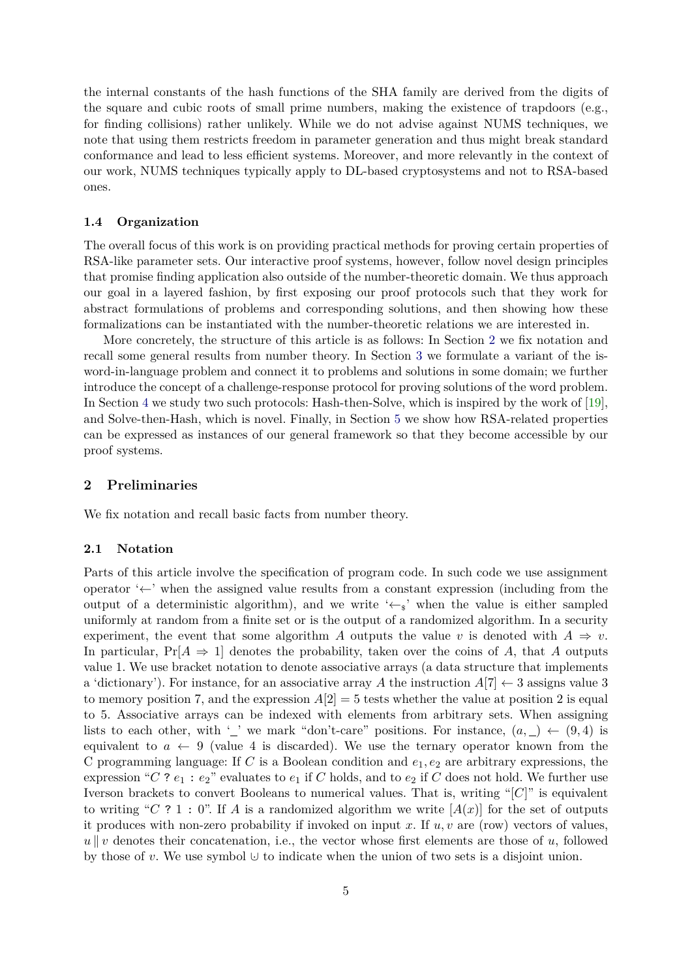the internal constants of the hash functions of the SHA family are derived from the digits of the square and cubic roots of small prime numbers, making the existence of trapdoors (e.g., for finding collisions) rather unlikely. While we do not advise against NUMS techniques, we note that using them restricts freedom in parameter generation and thus might break standard conformance and lead to less efficient systems. Moreover, and more relevantly in the context of our work, NUMS techniques typically apply to DL-based cryptosystems and not to RSA-based ones.

## **1.4 Organization**

The overall focus of this work is on providing practical methods for proving certain properties of RSA-like parameter sets. Our interactive proof systems, however, follow novel design principles that promise finding application also outside of the number-theoretic domain. We thus approach our goal in a layered fashion, by first exposing our proof protocols such that they work for abstract formulations of problems and corresponding solutions, and then showing how these formalizations can be instantiated with the number-theoretic relations we are interested in.

More concretely, the structure of this article is as follows: In Section [2](#page-4-0) we fix notation and recall some general results from number theory. In Section [3](#page-5-0) we formulate a variant of the isword-in-language problem and connect it to problems and solutions in some domain; we further introduce the concept of a challenge-response protocol for proving solutions of the word problem. In Section [4](#page-8-0) we study two such protocols: Hash-then-Solve, which is inspired by the work of [\[19\]](#page-20-6), and Solve-then-Hash, which is novel. Finally, in Section [5](#page-14-0) we show how RSA-related properties can be expressed as instances of our general framework so that they become accessible by our proof systems.

#### <span id="page-4-0"></span>**2 Preliminaries**

We fix notation and recall basic facts from number theory.

#### **2.1 Notation**

Parts of this article involve the specification of program code. In such code we use assignment operator '←' when the assigned value results from a constant expression (including from the output of a deterministic algorithm), and we write ' $\leftarrow s$ ' when the value is either sampled uniformly at random from a finite set or is the output of a randomized algorithm. In a security experiment, the event that some algorithm *A* outputs the value *v* is denoted with  $A \Rightarrow v$ . In particular,  $Pr[A \Rightarrow 1]$  denotes the probability, taken over the coins of *A*, that *A* outputs value 1. We use bracket notation to denote associative arrays (a data structure that implements a 'dictionary'). For instance, for an associative array A the instruction  $A[7] \leftarrow 3$  assigns value 3 to memory position 7, and the expression  $A[2] = 5$  tests whether the value at position 2 is equal to 5. Associative arrays can be indexed with elements from arbitrary sets. When assigning lists to each other, with '\_' we mark "don't-care" positions. For instance,  $(a, ) \leftarrow (9, 4)$  is equivalent to  $a \leftarrow 9$  (value 4 is discarded). We use the ternary operator known from the C programming language: If C is a Boolean condition and  $e_1, e_2$  are arbitrary expressions, the expression " $C$ ?  $e_1 : e_2$ " evaluates to  $e_1$  if  $C$  holds, and to  $e_2$  if  $C$  does not hold. We further use Iverson brackets to convert Booleans to numerical values. That is, writing "[*C*]" is equivalent to writing "*C* ? 1 : 0". If *A* is a randomized algorithm we write  $[A(x)]$  for the set of outputs it produces with non-zero probability if invoked on input *x*. If *u, v* are (row) vectors of values,  $u \parallel v$  denotes their concatenation, i.e., the vector whose first elements are those of *u*, followed by those of *v*. We use symbol ∪· to indicate when the union of two sets is a disjoint union.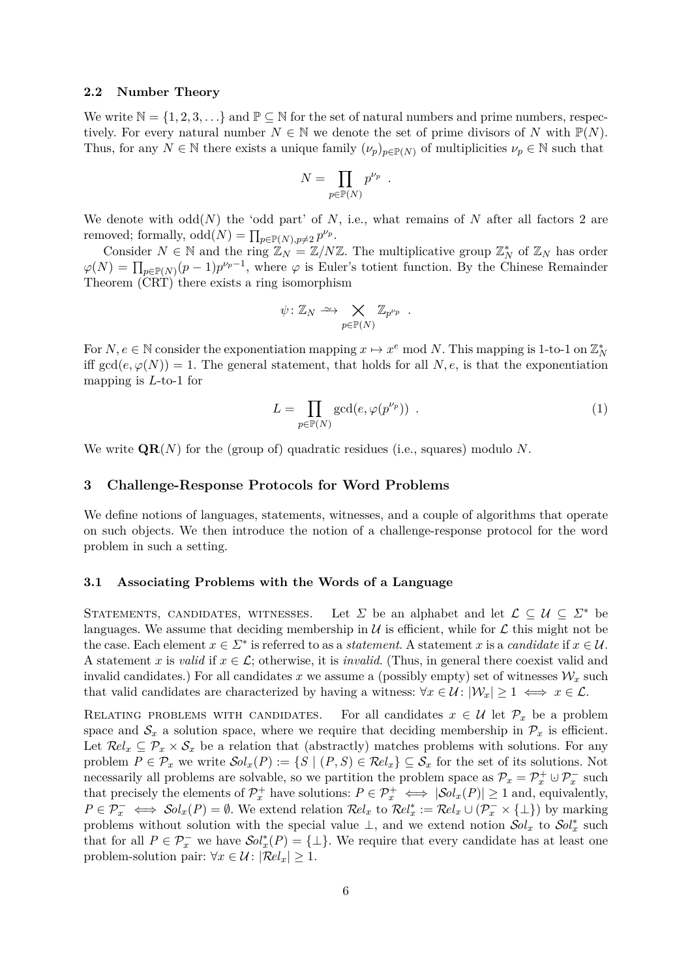#### <span id="page-5-3"></span>**2.2 Number Theory**

We write  $\mathbb{N} = \{1, 2, 3, \ldots\}$  and  $\mathbb{P} \subseteq \mathbb{N}$  for the set of natural numbers and prime numbers, respectively. For every natural number  $N \in \mathbb{N}$  we denote the set of prime divisors of *N* with  $\mathbb{P}(N)$ . Thus, for any  $N \in \mathbb{N}$  there exists a unique family  $(\nu_p)_{p \in \mathbb{P}(N)}$  of multiplicities  $\nu_p \in \mathbb{N}$  such that

$$
N = \prod_{p \in \mathbb{P}(N)} p^{\nu_p} .
$$

We denote with  $odd(N)$  the 'odd part' of N, i.e., what remains of N after all factors 2 are removed; formally,  $odd(N) = \prod_{p \in \mathbb{P}(N), p \neq 2} p^{\nu_p}$ .

Consider  $N \in \mathbb{N}$  and the ring  $\mathbb{Z}_N = \mathbb{Z}/N\mathbb{Z}$ . The multiplicative group  $\mathbb{Z}_N^*$  of  $\mathbb{Z}_N$  has order  $\varphi(N) = \prod_{p \in \mathbb{P}(N)} (p-1)p^{\nu_p-1}$ , where  $\varphi$  is Euler's totient function. By the Chinese Remainder Theorem (CRT) there exists a ring isomorphism

$$
\psi \colon \mathbb{Z}_N \xrightarrow{\sim} \bigtimes_{p \in \mathbb{P}(N)} \mathbb{Z}_{p^{\nu_p}} .
$$

For  $N, e \in \mathbb{N}$  consider the exponentiation mapping  $x \mapsto x^e \mod N$ . This mapping is 1-to-1 on  $\mathbb{Z}_N^*$ iff  $gcd(e, \varphi(N)) = 1$ . The general statement, that holds for all *N*, *e*, is that the exponentiation mapping is *L*-to-1 for

<span id="page-5-2"></span>
$$
L = \prod_{p \in \mathbb{P}(N)} \gcd(e, \varphi(p^{\nu_p})) \tag{1}
$$

We write **QR**(*N*) for the (group of) quadratic residues (i.e., squares) modulo *N*.

## <span id="page-5-0"></span>**3 Challenge-Response Protocols for Word Problems**

We define notions of languages, statements, witnesses, and a couple of algorithms that operate on such objects. We then introduce the notion of a challenge-response protocol for the word problem in such a setting.

#### <span id="page-5-1"></span>**3.1 Associating Problems with the Words of a Language**

STATEMENTS, CANDIDATES, WITNESSES. Let  $\Sigma$  be an alphabet and let  $\mathcal{L} \subset \mathcal{U} \subset \Sigma^*$  be languages. We assume that deciding membership in  $\mathcal U$  is efficient, while for  $\mathcal L$  this might not be the case. Each element  $x \in \Sigma^*$  is referred to as a *statement*. A statement *x* is a *candidate* if  $x \in \mathcal{U}$ . A statement *x* is *valid* if  $x \in \mathcal{L}$ ; otherwise, it is *invalid*. (Thus, in general there coexist valid and invalid candidates.) For all candidates  $x$  we assume a (possibly empty) set of witnesses  $\mathcal{W}_x$  such that valid candidates are characterized by having a witness:  $\forall x \in \mathcal{U} : |\mathcal{W}_x| \geq 1 \iff x \in \mathcal{L}$ .

RELATING PROBLEMS WITH CANDIDATES. For all candidates  $x \in \mathcal{U}$  let  $\mathcal{P}_x$  be a problem space and  $S_x$  a solution space, where we require that deciding membership in  $\mathcal{P}_x$  is efficient. Let  $\mathcal{R}el_x \subseteq \mathcal{P}_x \times \mathcal{S}_x$  be a relation that (abstractly) matches problems with solutions. For any problem  $P \in \mathcal{P}_x$  we write  $\mathcal{S}ol_x(P) := \{ S \mid (P, S) \in \mathcal{R}el_x \} \subseteq \mathcal{S}_x$  for the set of its solutions. Not necessarily all problems are solvable, so we partition the problem space as  $\mathcal{P}_x = \mathcal{P}_x^+ \cup \mathcal{P}_x^-$  such that precisely the elements of  $\mathcal{P}_x^+$  have solutions:  $P \in \mathcal{P}_x^+ \iff |\mathcal{S}ol_x(P)| \ge 1$  and, equivalently,  $P \in \mathcal{P}_x^- \iff \mathcal{S}ol_x(P) = \emptyset$ . We extend relation  $\mathcal{R}el_x$  to  $\mathcal{R}el_x^* := \mathcal{R}el_x \cup (\mathcal{P}_x^- \times {\{\perp\}})$  by marking problems without solution with the special value  $\perp$ , and we extend notion  $\mathcal{S}ol_x$  to  $\mathcal{S}ol_x^*$  such that for all  $P \in \mathcal{P}_x^-$  we have  $\mathcal{S}ol_x^*(P) = {\perp}$ . We require that every candidate has at least one problem-solution pair:  $\forall x \in \mathcal{U} : |\mathcal{R}el_x| \geq 1$ .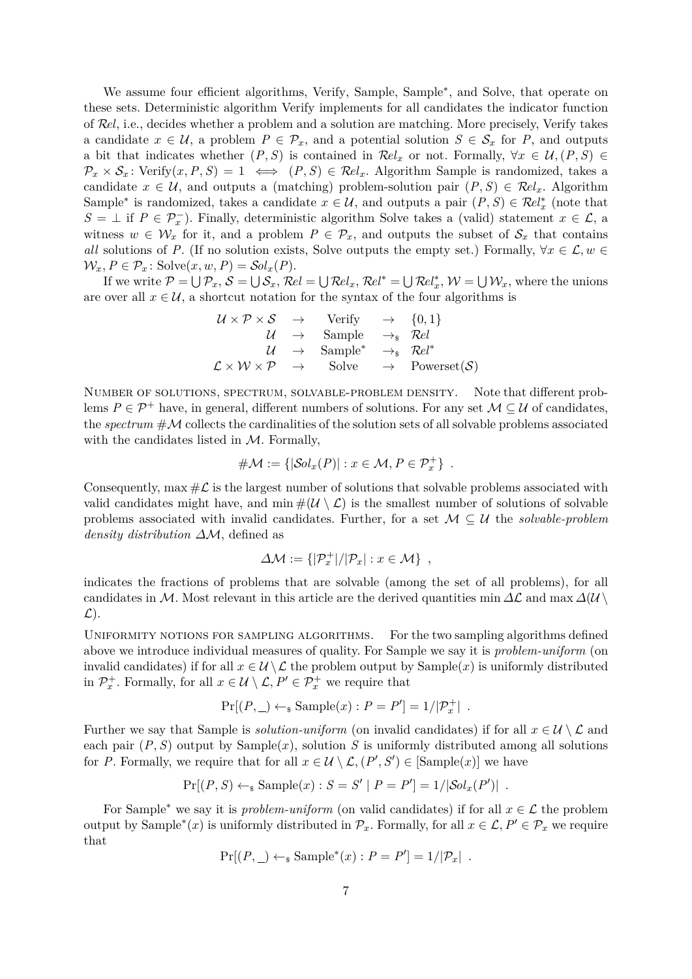We assume four efficient algorithms, Verify, Sample, Sample<sup>∗</sup> , and Solve, that operate on these sets. Deterministic algorithm Verify implements for all candidates the indicator function of R*el*, i.e., decides whether a problem and a solution are matching. More precisely, Verify takes a candidate  $x \in \mathcal{U}$ , a problem  $P \in \mathcal{P}_x$ , and a potential solution  $S \in \mathcal{S}_x$  for  $P$ , and outputs a bit that indicates whether  $(P, S)$  is contained in  $\mathcal{R}el_x$  or not. Formally,  $\forall x \in \mathcal{U}, (P, S) \in$  $\mathcal{P}_x \times \mathcal{S}_x$ : Verify $(x, P, S) = 1 \iff (P, S) \in \mathbb{R}el_x$ . Algorithm Sample is randomized, takes a candidate  $x \in \mathcal{U}$ , and outputs a (matching) problem-solution pair  $(P, S) \in \mathcal{R}el_x$ . Algorithm Sample<sup>\*</sup> is randomized, takes a candidate  $x \in \mathcal{U}$ , and outputs a pair  $(P, S) \in \mathcal{R}el^*_x$  (note that *S* = ⊥ if *P* ∈  $\mathcal{P}_x^-$ ). Finally, deterministic algorithm Solve takes a (valid) statement *x* ∈  $\mathcal{L}$ , a witness  $w \in \mathcal{W}_x$  for it, and a problem  $P \in \mathcal{P}_x$ , and outputs the subset of  $\mathcal{S}_x$  that contains *all* solutions of *P*. (If no solution exists, Solve outputs the empty set.) Formally,  $\forall x \in \mathcal{L}, w \in$  $\mathcal{W}_x, P \in \mathcal{P}_x$ : Solve $(x, w, P) = \mathcal{S}ol_x(P)$ .

If we write  $P = \bigcup P_x$ ,  $S = \bigcup S_x$ ,  $Rel = \bigcup Rel_x$ ,  $Rel^* = \bigcup Rel_x^*$ ,  $W = \bigcup W_x$ , where the unions are over all  $x \in \mathcal{U}$ , a shortcut notation for the syntax of the four algorithms is

$$
\begin{array}{rcl}\n\mathcal{U} \times \mathcal{P} \times \mathcal{S} & \rightarrow & \text{Verify} & \rightarrow & \{0, 1\} \\
\mathcal{U} & \rightarrow & \text{Sample} & \rightarrow_{\text{s}} & \mathcal{R}el \\
\mathcal{U} & \rightarrow & \text{Sample}^{*} & \rightarrow_{\text{s}} & \mathcal{R}el^{*} \\
\mathcal{L} \times \mathcal{W} \times \mathcal{P} & \rightarrow & \text{Solve} & \rightarrow & \text{Powerset}(\mathcal{S})\n\end{array}
$$

Number of solutions, spectrum, solvable-problem density. Note that different problems  $P \in \mathcal{P}^+$  have, in general, different numbers of solutions. For any set  $\mathcal{M} \subseteq \mathcal{U}$  of candidates, the *spectrum* #M collects the cardinalities of the solution sets of all solvable problems associated with the candidates listed in  $M$ . Formally,

#M := {|S*olx*(*P*)| : *x* ∈ M*,P* ∈ P<sup>+</sup> *<sup>x</sup>* } *.*

Consequently, max  $\#\mathcal{L}$  is the largest number of solutions that solvable problems associated with valid candidates might have, and  $\min \#(\mathcal{U} \setminus \mathcal{L})$  is the smallest number of solutions of solvable problems associated with invalid candidates. Further, for a set M ⊆ U the *solvable-problem density distribution ∆*M, defined as

$$
\Delta \mathcal{M} := \{ |\mathcal{P}_x^+| / |\mathcal{P}_x| : x \in \mathcal{M} \},
$$

indicates the fractions of problems that are solvable (among the set of all problems), for all candidates in M. Most relevant in this article are the derived quantities min  $\Delta\mathcal{L}$  and max  $\Delta(\mathcal{U} \setminus \mathcal{U})$  $\mathcal{L}$ ).

UNIFORMITY NOTIONS FOR SAMPLING ALGORITHMS. For the two sampling algorithms defined above we introduce individual measures of quality. For Sample we say it is *problem-uniform* (on invalid candidates) if for all  $x \in \mathcal{U} \setminus \mathcal{L}$  the problem output by Sample(x) is uniformly distributed in  $\mathcal{P}_x^+$ . Formally, for all  $x \in \mathcal{U} \setminus \mathcal{L}, P' \in \mathcal{P}_x^+$  we require that

$$
Pr[(P, \_) \leftarrow_{\$} Sample(x) : P = P'] = 1/|\mathcal{P}_x^+|.
$$

Further we say that Sample is *solution-uniform* (on invalid candidates) if for all  $x \in \mathcal{U} \setminus \mathcal{L}$  and each pair  $(P, S)$  output by Sample $(x)$ , solution *S* is uniformly distributed among all solutions for *P*. Formally, we require that for all  $x \in \mathcal{U} \setminus \mathcal{L}$ ,  $(P', S') \in \text{[Sample}(x) ]$  we have

$$
Pr[(P, S) \leftarrow_s Sample(x) : S = S' | P = P'] = 1/|Sol_x(P')| .
$$

For Sample<sup>\*</sup> we say it is *problem-uniform* (on valid candidates) if for all  $x \in \mathcal{L}$  the problem output by Sample<sup>\*</sup>(*x*) is uniformly distributed in  $\mathcal{P}_x$ . Formally, for all  $x \in \mathcal{L}, P' \in \mathcal{P}_x$  we require that

$$
Pr[(P, \_) \leftarrow_{\$} Sample^*(x) : P = P'] = 1/|\mathcal{P}_x|.
$$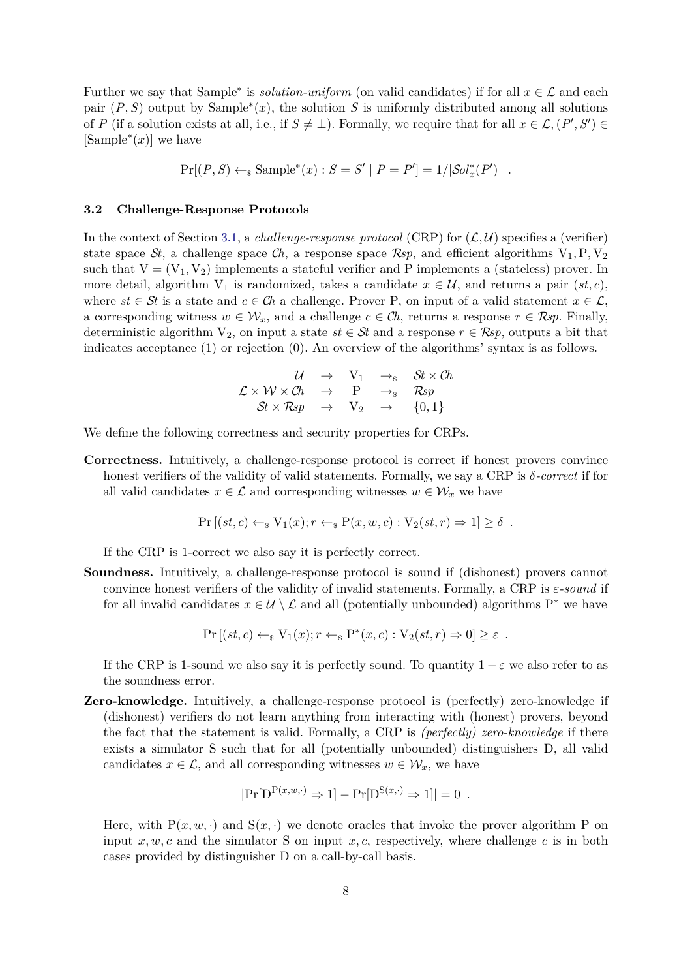Further we say that Sample<sup>\*</sup> is *solution-uniform* (on valid candidates) if for all  $x \in \mathcal{L}$  and each pair  $(P, S)$  output by Sample<sup>\*</sup> $(x)$ , the solution *S* is uniformly distributed among all solutions of *P* (if a solution exists at all, i.e., if  $S \neq \bot$ ). Formally, we require that for all  $x \in \mathcal{L}, (P', S') \in$  $[\text{Sample}^*(x)]$  we have

$$
Pr[(P, S) \leftarrow_{\$} Sample^*(x) : S = S' | P = P'] = 1/|\mathcal{S}ol_x^*(P')| .
$$

## **3.2 Challenge-Response Protocols**

In the context of Section [3.1,](#page-5-1) a *challenge-response protocol* (CRP) for  $(L, U)$  specifies a (verifier) state space St, a challenge space  $\mathcal{C}_h$ , a response space  $\mathcal{R}_{sp}$ , and efficient algorithms  $V_1, P, V_2$ such that  $V = (V_1, V_2)$  implements a stateful verifier and P implements a (stateless) prover. In more detail, algorithm  $V_1$  is randomized, takes a candidate  $x \in \mathcal{U}$ , and returns a pair  $(st, c)$ , where  $st \in St$  is a state and  $c \in Ch$  a challenge. Prover P, on input of a valid statement  $x \in \mathcal{L}$ , a corresponding witness  $w \in \mathcal{W}_x$ , and a challenge  $c \in \mathcal{C}$ *h*, returns a response  $r \in \mathcal{R}$ *sp*. Finally, deterministic algorithm  $V_2$ , on input a state  $st \in St$  and a response  $r \in \mathcal{R}sp$ , outputs a bit that indicates acceptance (1) or rejection (0). An overview of the algorithms' syntax is as follows.

$$
\begin{array}{rclcl} \mathcal{U} & \rightarrow & \mathrm{V}_1 & \rightarrow_{\mathrm{s}} & \mathcal{S}t \times \mathcal{C}h \\ \mathcal{L} \times \mathcal{W} \times \mathcal{C}h & \rightarrow & \mathrm{P} & \rightarrow_{\mathrm{s}} & \mathcal{R}sp \\ \mathcal{S}t \times \mathcal{R}sp & \rightarrow & \mathrm{V}_2 & \rightarrow & \{0,1\} \end{array}
$$

We define the following correctness and security properties for CRPs.

**Correctness.** Intuitively, a challenge-response protocol is correct if honest provers convince honest verifiers of the validity of valid statements. Formally, we say a CRP is *δ-correct* if for all valid candidates  $x \in \mathcal{L}$  and corresponding witnesses  $w \in \mathcal{W}_x$  we have

$$
Pr [(st, c) \leftarrow_{\$} V_1(x); r \leftarrow_{\$} P(x, w, c) : V_2(st, r) \Rightarrow 1] \ge \delta.
$$

If the CRP is 1-correct we also say it is perfectly correct.

**Soundness.** Intuitively, a challenge-response protocol is sound if (dishonest) provers cannot convince honest verifiers of the validity of invalid statements. Formally, a CRP is *ε-sound* if for all invalid candidates  $x \in \mathcal{U} \setminus \mathcal{L}$  and all (potentially unbounded) algorithms P<sup>\*</sup> we have

$$
Pr [(st, c) \leftarrow_{\$} V_1(x); r \leftarrow_{\$} P^*(x, c) : V_2(st, r) \Rightarrow 0] \geq \varepsilon.
$$

If the CRP is 1-sound we also say it is perfectly sound. To quantity  $1 - \varepsilon$  we also refer to as the soundness error.

**Zero-knowledge.** Intuitively, a challenge-response protocol is (perfectly) zero-knowledge if (dishonest) verifiers do not learn anything from interacting with (honest) provers, beyond the fact that the statement is valid. Formally, a CRP is *(perfectly) zero-knowledge* if there exists a simulator S such that for all (potentially unbounded) distinguishers D, all valid candidates  $x \in \mathcal{L}$ , and all corresponding witnesses  $w \in \mathcal{W}_x$ , we have

$$
|\Pr[D^{P(x,w,\cdot)} \Rightarrow 1] - \Pr[D^{S(x,\cdot)} \Rightarrow 1]| = 0
$$
.

Here, with  $P(x, w, \cdot)$  and  $S(x, \cdot)$  we denote oracles that invoke the prover algorithm P on input  $x, w, c$  and the simulator S on input  $x, c$ , respectively, where challenge  $c$  is in both cases provided by distinguisher D on a call-by-call basis.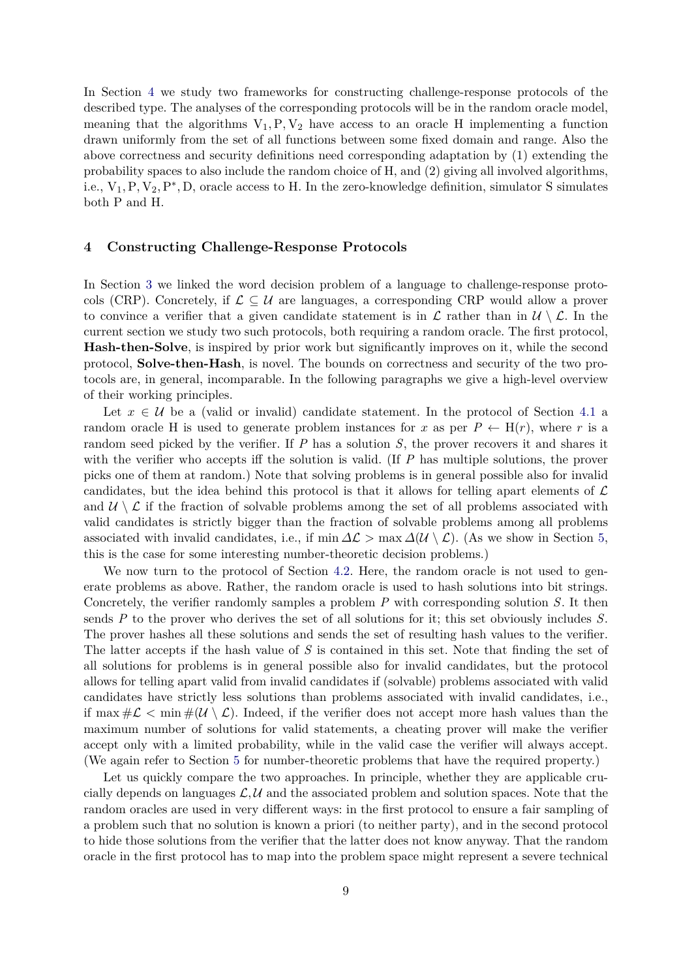In Section [4](#page-8-0) we study two frameworks for constructing challenge-response protocols of the described type. The analyses of the corresponding protocols will be in the random oracle model, meaning that the algorithms  $V_1, P, V_2$  have access to an oracle H implementing a function drawn uniformly from the set of all functions between some fixed domain and range. Also the above correctness and security definitions need corresponding adaptation by (1) extending the probability spaces to also include the random choice of H, and (2) giving all involved algorithms, i.e.,  $V_1, P, V_2, P^*, D$ , oracle access to H. In the zero-knowledge definition, simulator S simulates both P and H.

## <span id="page-8-0"></span>**4 Constructing Challenge-Response Protocols**

In Section [3](#page-5-0) we linked the word decision problem of a language to challenge-response protocols (CRP). Concretely, if  $\mathcal{L} \subset \mathcal{U}$  are languages, a corresponding CRP would allow a prover to convince a verifier that a given candidate statement is in  $\mathcal{L}$  rather than in  $\mathcal{U} \setminus \mathcal{L}$ . In the current section we study two such protocols, both requiring a random oracle. The first protocol, **Hash-then-Solve**, is inspired by prior work but significantly improves on it, while the second protocol, **Solve-then-Hash**, is novel. The bounds on correctness and security of the two protocols are, in general, incomparable. In the following paragraphs we give a high-level overview of their working principles.

Let  $x \in \mathcal{U}$  be a (valid or invalid) candidate statement. In the protocol of Section [4.1](#page-9-0) a random oracle H is used to generate problem instances for x as per  $P \leftarrow H(r)$ , where r is a random seed picked by the verifier. If *P* has a solution *S*, the prover recovers it and shares it with the verifier who accepts iff the solution is valid. (If *P* has multiple solutions, the prover picks one of them at random.) Note that solving problems is in general possible also for invalid candidates, but the idea behind this protocol is that it allows for telling apart elements of  $\mathcal L$ and  $\mathcal{U} \setminus \mathcal{L}$  if the fraction of solvable problems among the set of all problems associated with valid candidates is strictly bigger than the fraction of solvable problems among all problems associated with invalid candidates, i.e., if min  $\Delta \mathcal{L}$  > max  $\Delta(\mathcal{U} \setminus \mathcal{L})$ . (As we show in Section [5,](#page-14-0) this is the case for some interesting number-theoretic decision problems.)

We now turn to the protocol of Section [4.2.](#page-10-0) Here, the random oracle is not used to generate problems as above. Rather, the random oracle is used to hash solutions into bit strings. Concretely, the verifier randomly samples a problem *P* with corresponding solution *S*. It then sends *P* to the prover who derives the set of all solutions for it; this set obviously includes *S*. The prover hashes all these solutions and sends the set of resulting hash values to the verifier. The latter accepts if the hash value of *S* is contained in this set. Note that finding the set of all solutions for problems is in general possible also for invalid candidates, but the protocol allows for telling apart valid from invalid candidates if (solvable) problems associated with valid candidates have strictly less solutions than problems associated with invalid candidates, i.e., if max  $\#\mathcal{L} < \min \#(\mathcal{U} \setminus \mathcal{L})$ . Indeed, if the verifier does not accept more hash values than the maximum number of solutions for valid statements, a cheating prover will make the verifier accept only with a limited probability, while in the valid case the verifier will always accept. (We again refer to Section [5](#page-14-0) for number-theoretic problems that have the required property.)

Let us quickly compare the two approaches. In principle, whether they are applicable crucially depends on languages  $\mathcal{L}, \mathcal{U}$  and the associated problem and solution spaces. Note that the random oracles are used in very different ways: in the first protocol to ensure a fair sampling of a problem such that no solution is known a priori (to neither party), and in the second protocol to hide those solutions from the verifier that the latter does not know anyway. That the random oracle in the first protocol has to map into the problem space might represent a severe technical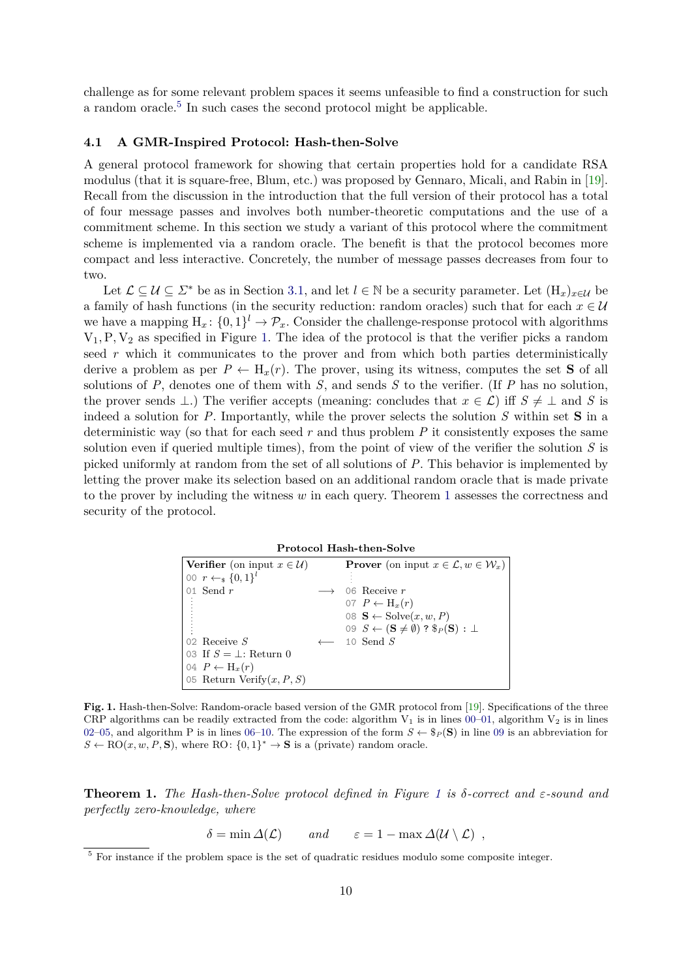challenge as for some relevant problem spaces it seems unfeasible to find a construction for such a random oracle.<sup>[5](#page-9-1)</sup> In such cases the second protocol might be applicable.

#### <span id="page-9-0"></span>**4.1 A GMR-Inspired Protocol: Hash-then-Solve**

A general protocol framework for showing that certain properties hold for a candidate RSA modulus (that it is square-free, Blum, etc.) was proposed by Gennaro, Micali, and Rabin in [\[19\]](#page-20-6). Recall from the discussion in the introduction that the full version of their protocol has a total of four message passes and involves both number-theoretic computations and the use of a commitment scheme. In this section we study a variant of this protocol where the commitment scheme is implemented via a random oracle. The benefit is that the protocol becomes more compact and less interactive. Concretely, the number of message passes decreases from four to two.

Let  $\mathcal{L} \subseteq \mathcal{U} \subseteq \mathcal{Z}^*$  be as in Section [3.1,](#page-5-1) and let  $l \in \mathbb{N}$  be a security parameter. Let  $(H_x)_{x \in \mathcal{U}}$  be a family of hash functions (in the security reduction: random oracles) such that for each  $x \in U$ we have a mapping  $H_x: \{0,1\}^l \to \mathcal{P}_x$ . Consider the challenge-response protocol with algorithms  $V_1, P, V_2$  as specified in Figure [1.](#page-9-2) The idea of the protocol is that the verifier picks a random seed *r* which it communicates to the prover and from which both parties deterministically derive a problem as per  $P \leftarrow H_x(r)$ . The prover, using its witness, computes the set **S** of all solutions of *P*, denotes one of them with *S*, and sends *S* to the verifier. (If *P* has no solution, the prover sends  $\bot$ .) The verifier accepts (meaning: concludes that  $x \in \mathcal{L}$ ) iff  $S \neq \bot$  and *S* is indeed a solution for *P*. Importantly, while the prover selects the solution *S* within set **S** in a deterministic way (so that for each seed  $r$  and thus problem  $P$  it consistently exposes the same solution even if queried multiple times), from the point of view of the verifier the solution *S* is picked uniformly at random from the set of all solutions of *P*. This behavior is implemented by letting the prover make its selection based on an additional random oracle that is made private to the prover by including the witness *w* in each query. Theorem [1](#page-9-3) assesses the correctness and security of the protocol.

<span id="page-9-12"></span><span id="page-9-11"></span><span id="page-9-10"></span><span id="page-9-9"></span><span id="page-9-8"></span>

|  | <b>Protocol Hash-then-Solve</b> |  |
|--|---------------------------------|--|
|--|---------------------------------|--|

<span id="page-9-6"></span><span id="page-9-5"></span><span id="page-9-4"></span>

| <b>Verifier</b> (on input $x \in \mathcal{U}$ ) | <b>Prover</b> (on input $x \in \mathcal{L}, w \in \mathcal{W}_x$ )        |
|-------------------------------------------------|---------------------------------------------------------------------------|
| 00 $r \leftarrow_s \{0,1\}^l$                   |                                                                           |
| 01 Send $r$                                     | 06 Receive $r$                                                            |
|                                                 | 07 $P \leftarrow H_x(r)$                                                  |
|                                                 | 08 $\mathbf{S} \leftarrow \text{Solve}(x, w, P)$                          |
|                                                 | 09 $S \leftarrow (\mathbf{S} \neq \emptyset)$ ? $\$_P(\mathbf{S}) : \bot$ |
| $\log R$ Receive S                              | $\leftarrow$ 10 Send S                                                    |
| 03 If $S = \perp$ : Return 0                    |                                                                           |
| $04 P \leftarrow H_x(r)$                        |                                                                           |
| 05 Return Verify $(x, P, S)$                    |                                                                           |

<span id="page-9-7"></span><span id="page-9-2"></span>**Fig. 1.** Hash-then-Solve: Random-oracle based version of the GMR protocol from [\[19\]](#page-20-6). Specifications of the three CRP algorithms can be readily extracted from the code: algorithm  $V_1$  is in lines [00](#page-9-4)[–01,](#page-9-5) algorithm  $V_2$  is in lines [02–](#page-9-6)[05,](#page-9-7) and algorithm P is in lines [06–](#page-9-8)[10.](#page-9-9) The expression of the form  $S \leftarrow \$_P(\mathbf{S})$  in line [09](#page-9-10) is an abbreviation for  $S \leftarrow \text{RO}(x, w, P, \mathbf{S})$ , where RO:  $\{0, 1\}^* \rightarrow \mathbf{S}$  is a (private) random oracle.

<span id="page-9-3"></span>**Theorem 1.** *The Hash-then-Solve protocol defined in Figure [1](#page-9-2) is δ-correct and ε-sound and perfectly zero-knowledge, where*

 $\delta = \min \Delta(\mathcal{L})$  *and*  $\varepsilon = 1 - \max \Delta(\mathcal{U} \setminus \mathcal{L})$ ,

<span id="page-9-1"></span><sup>&</sup>lt;sup>5</sup> For instance if the problem space is the set of quadratic residues modulo some composite integer.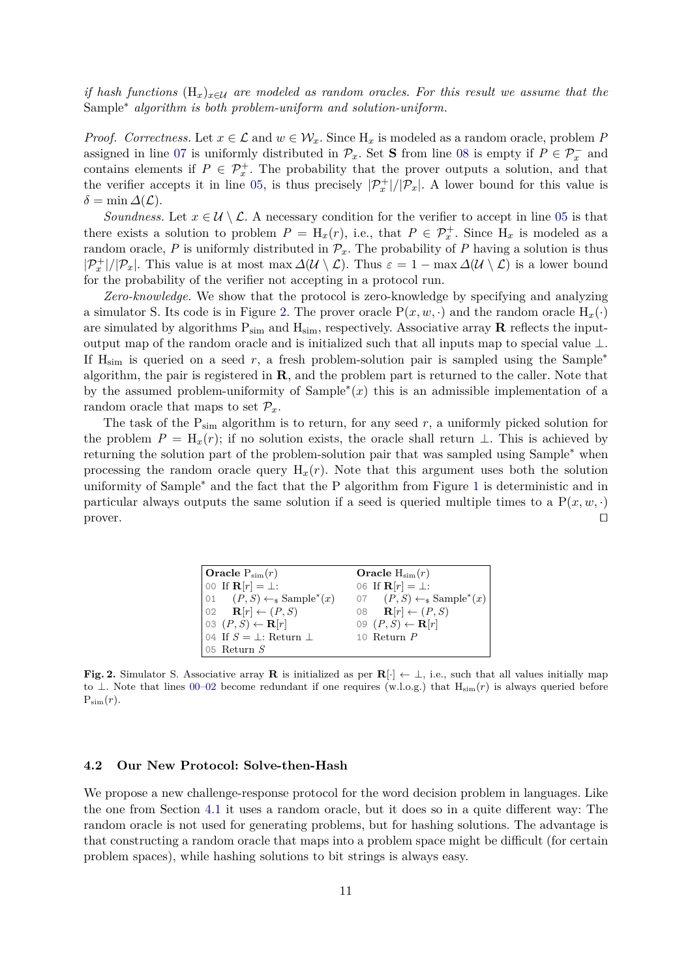*if hash functions* (H*x*)*x*∈U *are modeled as random oracles. For this result we assume that the* Sample<sup>∗</sup> *algorithm is both problem-uniform and solution-uniform.*

*Proof.* Correctness. Let  $x \in \mathcal{L}$  and  $w \in \mathcal{W}_x$ . Since  $H_x$  is modeled as a random oracle, problem P assigned in line [07](#page-9-11) is uniformly distributed in  $\mathcal{P}_x$ . Set **S** from line [08](#page-9-12) is empty if  $P \in \mathcal{P}_x^-$  and contains elements if  $P \in \mathcal{P}_x^+$ . The probability that the prover outputs a solution, and that the verifier accepts it in line [05,](#page-9-7) is thus precisely  $|\mathcal{P}_x^+|/|\mathcal{P}_x|$ . A lower bound for this value is  $\delta = \min \Delta(\mathcal{L}).$ 

*Soundness.* Let  $x \in \mathcal{U} \setminus \mathcal{L}$ . A necessary condition for the verifier to accept in line [05](#page-9-7) is that there exists a solution to problem  $P = H_x(r)$ , i.e., that  $P \in \mathcal{P}_x^+$ . Since  $H_x$  is modeled as a random oracle, *P* is uniformly distributed in  $\mathcal{P}_x$ . The probability of *P* having a solution is thus  $|\mathcal{P}_x^+|/|\mathcal{P}_x|$ . This value is at most max  $\Delta(\mathcal{U}\setminus\mathcal{L})$ . Thus  $\varepsilon=1-\max\Delta(\mathcal{U}\setminus\mathcal{L})$  is a lower bound for the probability of the verifier not accepting in a protocol run.

*Zero-knowledge.* We show that the protocol is zero-knowledge by specifying and analyzing a simulator S. Its code is in Figure [2.](#page-10-1) The prover oracle  $P(x, w, \cdot)$  and the random oracle  $H_x(\cdot)$ are simulated by algorithms  $P_{sim}$  and  $H_{sim}$ , respectively. Associative array **R** reflects the inputoutput map of the random oracle and is initialized such that all inputs map to special value  $\bot$ . If  $H_{sim}$  is queried on a seed r, a fresh problem-solution pair is sampled using the Sample<sup>\*</sup> algorithm, the pair is registered in **R**, and the problem part is returned to the caller. Note that by the assumed problem-uniformity of Sample<sup>∗</sup> (*x*) this is an admissible implementation of a random oracle that maps to set  $\mathcal{P}_x$ .

The task of the  $P_{sim}$  algorithm is to return, for any seed  $r$ , a uniformly picked solution for the problem  $P = H_x(r)$ ; if no solution exists, the oracle shall return  $\perp$ . This is achieved by returning the solution part of the problem-solution pair that was sampled using Sample<sup>∗</sup> when processing the random oracle query  $H_x(r)$ . Note that this argument uses both the solution uniformity of Sample<sup>\*</sup> and the fact that the P algorithm from Figure [1](#page-9-2) is deterministic and in particular always outputs the same solution if a seed is queried multiple times to a  $P(x, w, \cdot)$ prover.  $\Box$ 

<span id="page-10-3"></span><span id="page-10-2"></span>

| $\int$ Oracle $P_{sim}(r)$                     | Oracle $H_{sim}(r)$                                    |
|------------------------------------------------|--------------------------------------------------------|
| $\vert$ 00 If $\mathbf{R}[r] = \bot$ :         | 06 If $\mathbf{R}[r] = \perp$ :                        |
| $[01 \quad (P, S) \leftarrow_{\$} Sample^*(x)$ | 07 $(P, S) \leftarrow_{\mathbb{S}} \text{Sample}^*(x)$ |
| $ 02 \text{ R}[r] \leftarrow (P, S)$           | 08 $\mathbf{R}[r] \leftarrow (P, S)$                   |
| $\big $ 03 $(P, S) \leftarrow \mathbf{R}[r]$   | 09 $(P, S) \leftarrow \mathbf{R}[r]$                   |
| 04 If $S = \perp$ : Return $\perp$             | 10 Return $P$                                          |
| $\vert$ 05 Return S                            |                                                        |

<span id="page-10-1"></span>**Fig. 2.** Simulator S. Associative array **R** is initialized as per  $\mathbb{R}[\cdot] \leftarrow \perp$ , i.e., such that all values initially map to ⊥. Note that lines [00](#page-10-2)[–02](#page-10-3) become redundant if one requires (w.l.o.g.) that Hsim(*r*) is always queried before  $P_{\text{sim}}(r)$ .

#### <span id="page-10-0"></span>**4.2 Our New Protocol: Solve-then-Hash**

We propose a new challenge-response protocol for the word decision problem in languages. Like the one from Section [4.1](#page-9-0) it uses a random oracle, but it does so in a quite different way: The random oracle is not used for generating problems, but for hashing solutions. The advantage is that constructing a random oracle that maps into a problem space might be difficult (for certain problem spaces), while hashing solutions to bit strings is always easy.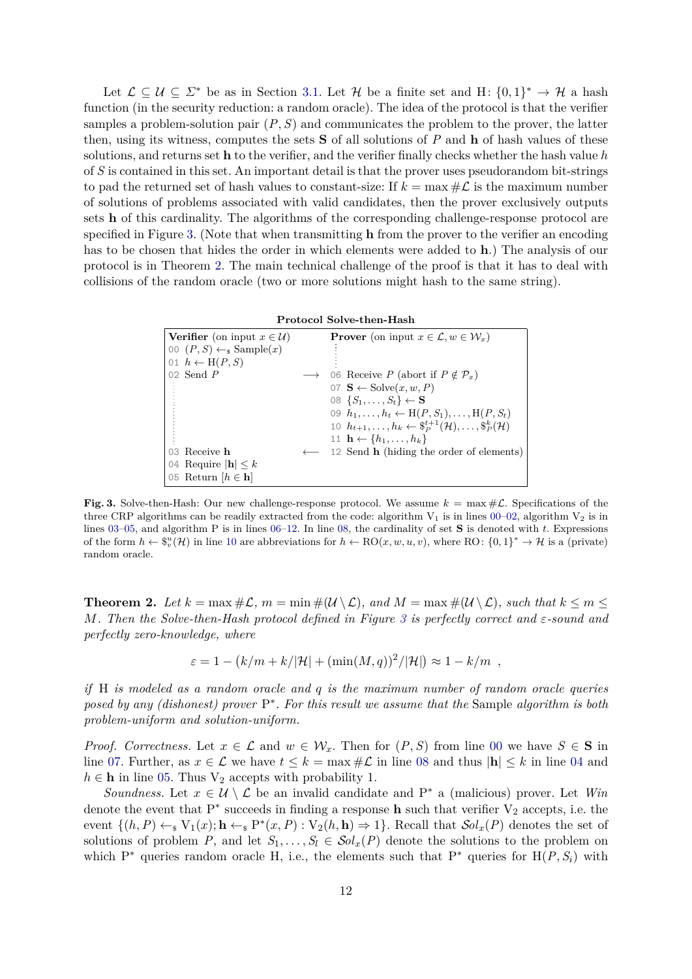Let  $\mathcal{L} \subseteq \mathcal{U} \subseteq \mathcal{L}^*$  be as in Section [3.1.](#page-5-1) Let  $\mathcal{H}$  be a finite set and H:  $\{0,1\}^* \to \mathcal{H}$  a hash function (in the security reduction: a random oracle). The idea of the protocol is that the verifier samples a problem-solution pair  $(P, S)$  and communicates the problem to the prover, the latter then, using its witness, computes the sets **S** of all solutions of *P* and **h** of hash values of these solutions, and returns set **h** to the verifier, and the verifier finally checks whether the hash value *h* of *S* is contained in this set. An important detail is that the prover uses pseudorandom bit-strings to pad the returned set of hash values to constant-size: If  $k = \max \# \mathcal{L}$  is the maximum number of solutions of problems associated with valid candidates, then the prover exclusively outputs sets **h** of this cardinality. The algorithms of the corresponding challenge-response protocol are specified in Figure [3.](#page-11-0) (Note that when transmitting **h** from the prover to the verifier an encoding has to be chosen that hides the order in which elements were added to **h**.) The analysis of our protocol is in Theorem [2.](#page-11-1) The main technical challenge of the proof is that it has to deal with collisions of the random oracle (two or more solutions might hash to the same string).

<span id="page-11-10"></span><span id="page-11-9"></span><span id="page-11-8"></span><span id="page-11-7"></span><span id="page-11-6"></span>

<span id="page-11-3"></span><span id="page-11-2"></span>

| <b>Verifier</b> (on input $x \in \mathcal{U}$ )      |                   | <b>Prover</b> (on input $x \in \mathcal{L}, w \in \mathcal{W}_x$ )                              |
|------------------------------------------------------|-------------------|-------------------------------------------------------------------------------------------------|
| 00 $(P, S) \leftarrow_{\mathbb{S}} \text{Sample}(x)$ |                   |                                                                                                 |
| 01 $h \leftarrow H(P, S)$                            |                   |                                                                                                 |
| 02 Send $P$                                          | $\longrightarrow$ | 06 Receive P (abort if $P \notin \mathcal{P}_x$ )                                               |
|                                                      |                   | 07 $\mathbf{S} \leftarrow \text{Solve}(x, w, P)$                                                |
|                                                      |                   | 08 $\{S_1,\ldots,S_t\} \leftarrow \mathbf{S}$                                                   |
|                                                      |                   | 09 $h_1, \ldots, h_t \leftarrow H(P, S_1), \ldots, H(P, S_t)$                                   |
|                                                      |                   | 10 $h_{t+1}, \ldots, h_k \leftarrow \$_{P}^{t+1}(\mathcal{H}), \ldots, \$_{P}^{k}(\mathcal{H})$ |
|                                                      |                   | 11 $\mathbf{h} \leftarrow \{h_1, \ldots, h_k\}$                                                 |
| 03 Receive h                                         | $\longleftarrow$  | 12 Send <b>h</b> (hiding the order of elements)                                                 |
| 04 Require $ \mathbf{h}  \leq k$                     |                   |                                                                                                 |
| 05 Return $ h \in \mathbf{h} $                       |                   |                                                                                                 |
|                                                      |                   |                                                                                                 |

<span id="page-11-11"></span><span id="page-11-5"></span><span id="page-11-4"></span><span id="page-11-0"></span>**Fig. 3.** Solve-then-Hash: Our new challenge-response protocol. We assume  $k = \max \# \mathcal{L}$ . Specifications of the three CRP algorithms can be readily extracted from the code: algorithm  $V_1$  is in lines [00–](#page-11-2)[02,](#page-11-3) algorithm  $V_2$  is in lines [03](#page-11-4)[–05,](#page-11-5) and algorithm P is in lines [06–](#page-11-6)[12.](#page-11-7) In line [08,](#page-11-8) the cardinality of set **S** is denoted with *t*. Expressions of the form  $h \leftarrow \mathbb{S}_v^u(\mathcal{H})$  in line [10](#page-11-9) are abbreviations for  $h \leftarrow \text{RO}(x, w, u, v)$ , where RO:  $\{0, 1\}^* \to \mathcal{H}$  is a (private) random oracle.

<span id="page-11-1"></span>**Theorem 2.** Let  $k = \max \# \mathcal{L}$ ,  $m = \min \# (\mathcal{U} \setminus \mathcal{L})$ , and  $M = \max \# (\mathcal{U} \setminus \mathcal{L})$ , such that  $k \leq m \leq$ *M. Then the Solve-then-Hash protocol defined in Figure [3](#page-11-0) is perfectly correct and ε-sound and perfectly zero-knowledge, where*

$$
\varepsilon = 1 - (k/m + k/|\mathcal{H}| + (\min(M, q))^2/|\mathcal{H}|) \approx 1 - k/m ,
$$

*if* H *is modeled as a random oracle and q is the maximum number of random oracle queries posed by any (dishonest) prover* P ∗ *. For this result we assume that the* Sample *algorithm is both problem-uniform and solution-uniform.*

*Proof. Correctness.* Let  $x \in \mathcal{L}$  and  $w \in \mathcal{W}_x$ . Then for  $(P, S)$  from line [00](#page-11-2) we have  $S \in S$  in line [07.](#page-11-10) Further, as  $x \in \mathcal{L}$  we have  $t \leq k = \max \#\mathcal{L}$  in line [08](#page-11-8) and thus  $|\mathbf{h}| \leq k$  in line [04](#page-11-11) and  $h \in \mathbf{h}$  in line [05.](#page-11-5) Thus  $V_2$  accepts with probability 1.

*Soundness.* Let  $x \in U \setminus L$  be an invalid candidate and P<sup>\*</sup> a (malicious) prover. Let *Win* denote the event that  $P^*$  succeeds in finding a response **h** such that verifier  $V_2$  accepts, i.e. the event  $\{(h, P) \leftarrow_s V_1(x); h \leftarrow_s P^*(x, P) : V_2(h, h) \Rightarrow 1\}$ . Recall that  $\mathcal{S}ol_x(P)$  denotes the set of solutions of problem *P*, and let  $S_1, \ldots, S_l \in Sol_x(P)$  denote the solutions to the problem on which  $P^*$  queries random oracle H, i.e., the elements such that  $P^*$  queries for  $H(P, S_i)$  with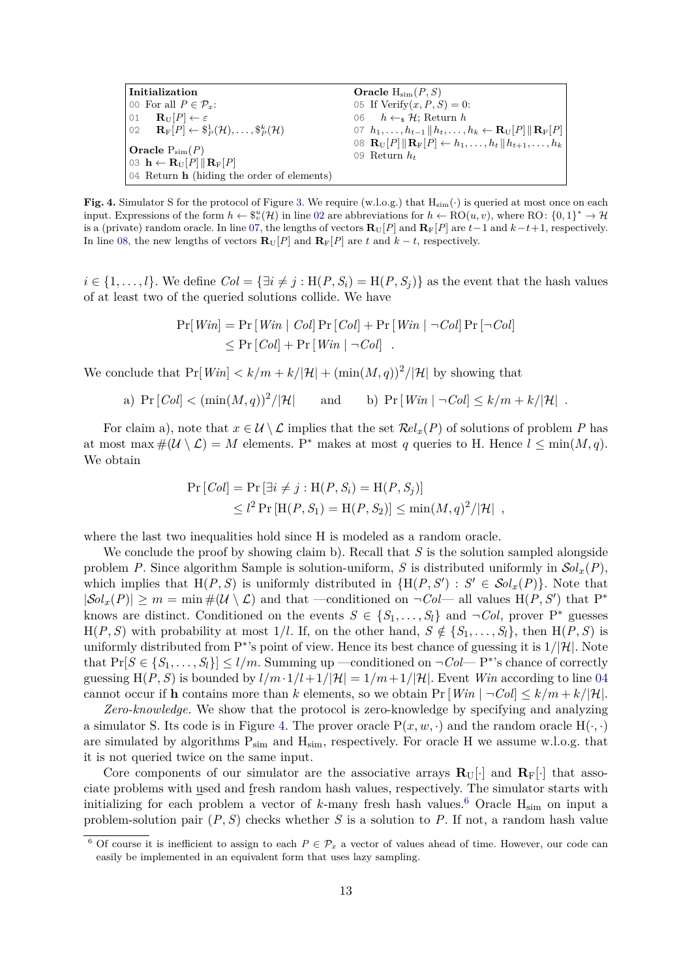<span id="page-12-2"></span><span id="page-12-1"></span><span id="page-12-0"></span>

| $\vert$ Initialization                                                                                          | Oracle $H_{\text{sim}}(P, S)$                                                                                                      |  |  |  |
|-----------------------------------------------------------------------------------------------------------------|------------------------------------------------------------------------------------------------------------------------------------|--|--|--|
| 00 For all $P \in \mathcal{P}_x$ :                                                                              | 05 If $Verify(x, P, S) = 0$ :                                                                                                      |  |  |  |
| 01 $\mathbf{R}_{\text{U}}[P] \leftarrow \varepsilon$                                                            | 06 $h \leftarrow_s \mathcal{H}$ ; Return h                                                                                         |  |  |  |
| $ 02 \mathbf{R}_{\text{F}}[P] \leftarrow \$\frac{1}{P}(\mathcal{H}), \ldots, \frac{\$k}{P}(\mathcal{H})$        | 07 $h_1, \ldots, h_{t-1}    h_t, \ldots, h_k \leftarrow \mathbf{R}_U[P]    \mathbf{R}_F[P]   $                                     |  |  |  |
| $\vert$ Oracle $P_{sim}(P)$<br>03 $\mathbf{h} \leftarrow \mathbf{R}_{\text{U}}[P] \ \mathbf{R}_{\text{F}}[P]\ $ | 08 $\mathbf{R}_{\text{U}}[P] \ \mathbf{R}_{\text{F}}[P] \leftarrow h_1, \ldots, h_t \  h_{t+1}, \ldots, h_k \ $<br>09 Return $h_t$ |  |  |  |
| $\vert$ 04 Return <b>h</b> (hiding the order of elements)                                                       |                                                                                                                                    |  |  |  |

<span id="page-12-3"></span>**Fig. 4.** Simulator S for the protocol of Figure [3.](#page-11-0) We require (w.l.o.g.) that  $H_{\text{sim}}(\cdot)$  is queried at most once on each input. Expressions of the form  $h \leftarrow \mathcal{F}_v^u(\mathcal{H})$  in line [02](#page-12-0) are abbreviations for  $h \leftarrow \text{RO}(u, v)$ , where RO:  $\{0, 1\}^* \to \mathcal{H}$ is a (private) random oracle. In line [07,](#page-12-1) the lengths of vectors  $\mathbf{R}_{\text{U}}[P]$  and  $\mathbf{R}_{\text{F}}[P]$  are  $t-1$  and  $k-t+1$ , respectively. In line [08,](#page-12-2) the new lengths of vectors  $\mathbf{R}_{\text{U}}[P]$  and  $\mathbf{R}_{\text{F}}[P]$  are t and  $k - t$ , respectively.

 $i \in \{1, \ldots, l\}$ . We define  $Col = \{\exists i \neq j : H(P, S_i) = H(P, S_j)\}\$ as the event that the hash values of at least two of the queried solutions collide. We have

$$
Pr[Win] = Pr[Win | Col] Pr[Col] + Pr[Win | \neg Col] Pr[\neg Col]
$$
  

$$
\leq Pr[Col] + Pr[Win | \neg Col]
$$
.

We conclude that  $Pr[Win] < k/m + k/|\mathcal{H}| + (\min(M, q))^2/|\mathcal{H}|$  by showing that

a)  $Pr[Col] < (min(M, q))^2/|\mathcal{H}|$ and b)  $Pr[Win \mid \neg Col] \leq k/m + k/|\mathcal{H}|$ .

For claim a), note that  $x \in \mathcal{U} \setminus \mathcal{L}$  implies that the set  $\mathcal{R}el_x(P)$  of solutions of problem P has at most max  $\#(\mathcal{U}\setminus\mathcal{L})=M$  elements. P<sup>\*</sup> makes at most *q* queries to H. Hence  $l\leq \min(M,q)$ . We obtain

$$
Pr[Col] = Pr[\exists i \neq j : H(P, S_i) = H(P, S_j)]
$$
  
\$\leq l^2 \Pr[H(P, S\_1) = H(P, S\_2)] \leq \min(M, q)^2/|\mathcal{H}|\$,

where the last two inequalities hold since H is modeled as a random oracle.

We conclude the proof by showing claim b). Recall that *S* is the solution sampled alongside problem *P*. Since algorithm Sample is solution-uniform, *S* is distributed uniformly in  $\mathcal{S}ol_x(P)$ , which implies that  $H(P, S)$  is uniformly distributed in  $\{H(P, S') : S' \in Sol_x(P)\}\$ . Note that  $|Sol_x(P)| \geq m = \min \#(\mathcal{U} \setminus \mathcal{L})$  and that —conditioned on  $\neg Col$ — all values  $H(P, S')$  that  $P^*$ knows are distinct. Conditioned on the events  $S \in \{S_1, \ldots, S_l\}$  and  $\neg Col$ , prover  $P^*$  guesses  $H(P, S)$  with probability at most 1/*l*. If, on the other hand,  $S \notin \{S_1, \ldots, S_l\}$ , then  $H(P, S)$  is uniformly distributed from P ∗ 's point of view. Hence its best chance of guessing it is 1*/*|H|. Note that  $Pr[S \in \{S_1, \ldots, S_l\}] \le l/m$ . Summing up —conditioned on  $\neg Col - P^*$ 's chance of correctly guessing  $H(P, S)$  is bounded by  $l/m \cdot 1/l + 1/l \mathcal{H} = 1/m + 1/l \mathcal{H}$ . Event *Win* according to line [04](#page-11-11) cannot occur if **h** contains more than *k* elements, so we obtain  $Pr[Win | \neg Col] \leq k/m + k/|\mathcal{H}|$ .

*Zero-knowledge.* We show that the protocol is zero-knowledge by specifying and analyzing a simulator S. Its code is in Figure [4.](#page-12-3) The prover oracle  $P(x, w, \cdot)$  and the random oracle  $H(\cdot, \cdot)$ are simulated by algorithms  $P_{sim}$  and  $H_{sim}$ , respectively. For oracle H we assume w.l.o.g. that it is not queried twice on the same input.

Core components of our simulator are the associative arrays  $\mathbf{R}_{\text{U}}[\cdot]$  and  $\mathbf{R}_{\text{F}}[\cdot]$  that associate problems with used and fresh random hash values, respectively. The simulator starts with initializing for each problem a vector of  $k$ -many fresh hash values.<sup>[6](#page-12-4)</sup> Oracle  $H_{sim}$  on input a problem-solution pair  $(P, S)$  checks whether *S* is a solution to *P*. If not, a random hash value

<span id="page-12-4"></span><sup>&</sup>lt;sup>6</sup> Of course it is inefficient to assign to each  $P \in \mathcal{P}_x$  a vector of values ahead of time. However, our code can easily be implemented in an equivalent form that uses lazy sampling.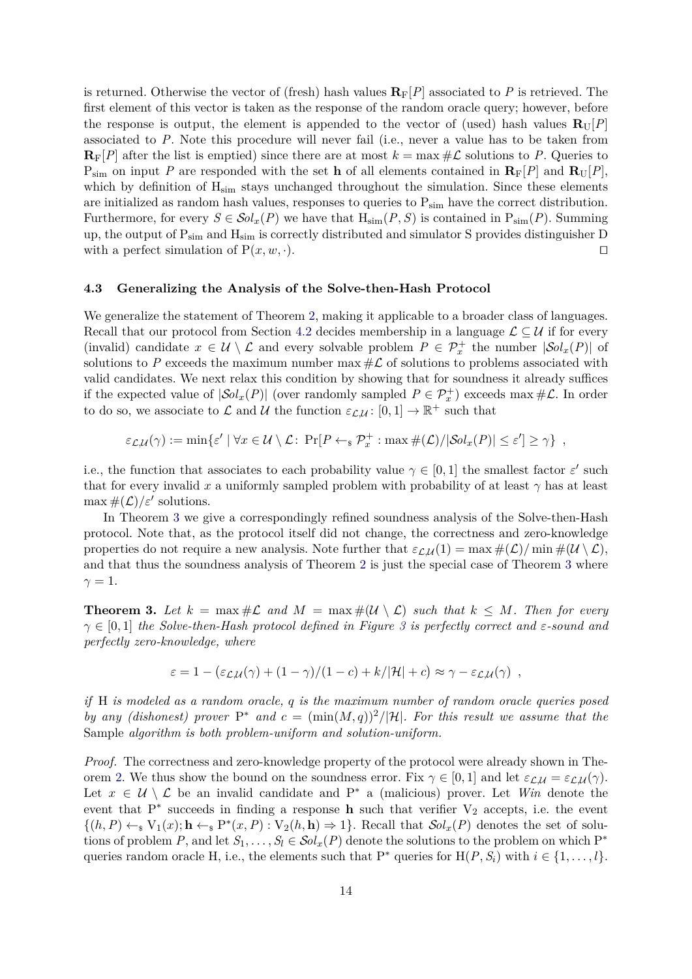is returned. Otherwise the vector of (fresh) hash values  $\mathbf{R}_F[P]$  associated to P is retrieved. The first element of this vector is taken as the response of the random oracle query; however, before the response is output, the element is appended to the vector of (used) hash values  $\mathbf{R}_{\text{U}}[P]$ associated to *P*. Note this procedure will never fail (i.e., never a value has to be taken from  $\mathbf{R}_F[P]$  after the list is emptied) since there are at most  $k = \max \# \mathcal{L}$  solutions to P. Queries to  $P_{sim}$  on input *P* are responded with the set **h** of all elements contained in  $\mathbf{R}_F[P]$  and  $\mathbf{R}_U[P]$ , which by definition of  $H_{sim}$  stays unchanged throughout the simulation. Since these elements are initialized as random hash values, responses to queries to  $P_{sim}$  have the correct distribution. Furthermore, for every  $S \in \mathcal{S}ol_x(P)$  we have that  $H_{\text{sim}}(P, S)$  is contained in  $P_{\text{sim}}(P)$ . Summing up, the output of Psim and Hsim is correctly distributed and simulator S provides distinguisher D with a perfect simulation of  $P(x, w, \cdot)$ .

## **4.3 Generalizing the Analysis of the Solve-then-Hash Protocol**

We generalize the statement of Theorem [2,](#page-11-1) making it applicable to a broader class of languages. Recall that our protocol from Section [4.2](#page-10-0) decides membership in a language  $\mathcal{L} \subseteq \mathcal{U}$  if for every (invalid) candidate  $x \in \mathcal{U} \setminus \mathcal{L}$  and every solvable problem  $P \in \mathcal{P}_x^+$  the number  $|\mathcal{S}ol_x(P)|$  of solutions to P exceeds the maximum number max  $\#\mathcal{L}$  of solutions to problems associated with valid candidates. We next relax this condition by showing that for soundness it already suffices if the expected value of  $|\mathcal{S}ol_x(P)|$  (over randomly sampled  $P \in \mathcal{P}^+_x$ ) exceeds max  $\#\mathcal{L}$ . In order to do so, we associate to  $\mathcal L$  and  $\mathcal U$  the function  $\varepsilon_{\mathcal L,\mathcal U} \colon [0,1] \to \mathbb R^+$  such that

$$
\varepsilon_{\mathcal{L},\mathcal{U}}(\gamma) := \min \{ \varepsilon' \mid \forall x \in \mathcal{U} \setminus \mathcal{L} \colon \Pr[P \leftarrow_{\mathrm{s}} \mathcal{P}_x^+ : \max \#(\mathcal{L}) / |\mathcal{S}ol_x(P)| \leq \varepsilon' \} \geq \gamma \},
$$

i.e., the function that associates to each probability value  $\gamma \in [0,1]$  the smallest factor  $\varepsilon'$  such that for every invalid x a uniformly sampled problem with probability of at least  $\gamma$  has at least  $\max#(\mathcal{L})/\varepsilon'$  solutions.

In Theorem [3](#page-13-0) we give a correspondingly refined soundness analysis of the Solve-then-Hash protocol. Note that, as the protocol itself did not change, the correctness and zero-knowledge properties do not require a new analysis. Note further that  $\varepsilon_{\mathcal{L},\mathcal{U}}(1) = \max \#(\mathcal{L})/\min \#(\mathcal{U} \setminus \mathcal{L}),$ and that thus the soundness analysis of Theorem [2](#page-11-1) is just the special case of Theorem [3](#page-13-0) where  $\gamma = 1$ .

<span id="page-13-0"></span>**Theorem 3.** Let  $k = \max \# \mathcal{L}$  and  $M = \max \# (\mathcal{U} \setminus \mathcal{L})$  such that  $k \leq M$ . Then for every *γ* ∈ [0*,* 1] *the Solve-then-Hash protocol defined in Figure [3](#page-11-0) is perfectly correct and ε-sound and perfectly zero-knowledge, where*

$$
\varepsilon = 1 - \frac{\varepsilon_{\mathcal{L},\mathcal{U}}(\gamma) + (1 - \gamma)/(1 - c) + k/|\mathcal{H}| + c} \approx \gamma - \varepsilon_{\mathcal{L},\mathcal{U}}(\gamma) ,
$$

*if* H *is modeled as a random oracle, q is the maximum number of random oracle queries posed by any (dishonest) prover*  $P^*$  *and*  $c = (\min(M, q))^2/|\mathcal{H}|$ *. For this result we assume that the* Sample *algorithm is both problem-uniform and solution-uniform.*

*Proof.* The correctness and zero-knowledge property of the protocol were already shown in The-orem [2.](#page-11-1) We thus show the bound on the soundness error. Fix  $\gamma \in [0,1]$  and let  $\varepsilon_{\mathcal{L},\mathcal{U}} = \varepsilon_{\mathcal{L},\mathcal{U}}(\gamma)$ . Let  $x \in U \setminus \mathcal{L}$  be an invalid candidate and P<sup>\*</sup> a (malicious) prover. Let *Win* denote the event that  $P^*$  succeeds in finding a response **h** such that verifier  $V_2$  accepts, i.e. the event  $\{(h, P) \leftarrow s V_1(x); h \leftarrow s P^*(x, P) : V_2(h, h) \Rightarrow 1\}.$  Recall that  $\mathcal{S}ol_x(P)$  denotes the set of solutions of problem *P*, and let  $S_1, \ldots, S_l \in Sol_x(P)$  denote the solutions to the problem on which  $P^*$ queries random oracle H, i.e., the elements such that  $P^*$  queries for  $H(P, S_i)$  with  $i \in \{1, ..., l\}$ .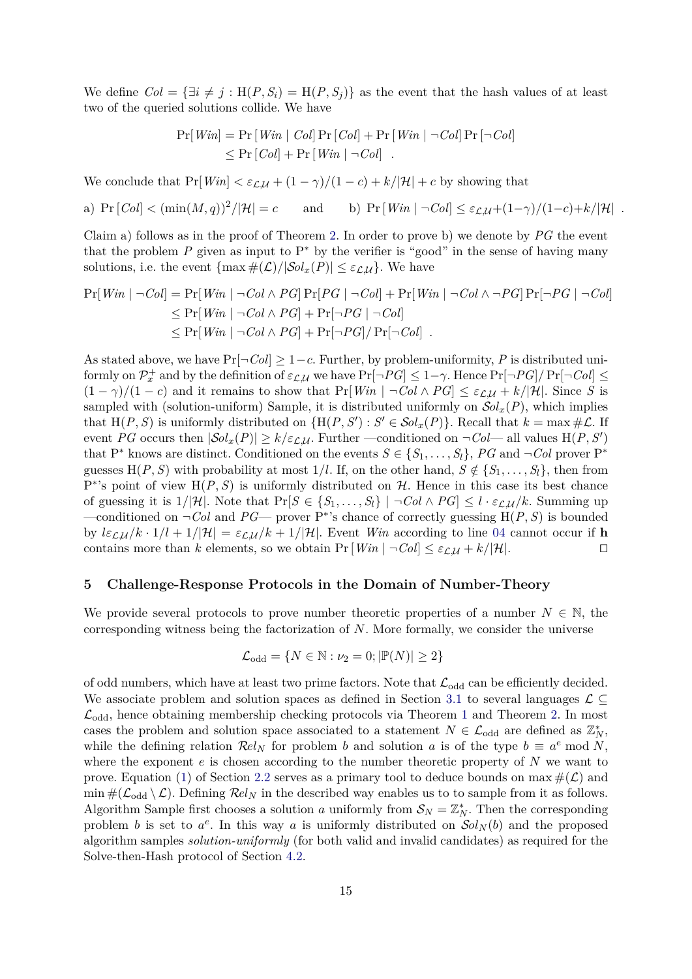We define  $Col = {\exists i \neq j : H(P, S_i) = H(P, S_j)}$  as the event that the hash values of at least two of the queried solutions collide. We have

$$
\Pr[Win] = \Pr[Win \mid Col] \Pr[Col] + \Pr[Win \mid \neg Col] \Pr[\neg Col]
$$
  
\$\leq\$ 
$$
\Pr[Col] + \Pr[Win \mid \neg Col]
$$
.

We conclude that  $Pr[Win] < \varepsilon_{\mathcal{L},\mathcal{U}} + (1 - \gamma)/(1 - c) + k/|\mathcal{H}| + c$  by showing that

a)  $Pr[Col] < (min(M, q))^2/|\mathcal{H}| = c$ *and* b)  $Pr[Win | \neg Col] \leq \varepsilon_L \cdot \frac{L}{L} \cdot \frac{L}{L} \cdot \frac{L}{L}$ .

Claim a) follows as in the proof of Theorem [2.](#page-11-1) In order to prove b) we denote by *PG* the event that the problem  $P$  given as input to  $P^*$  by the verifier is "good" in the sense of having many solutions, i.e. the event  $\{\max \#(\mathcal{L})/|\mathcal{S}ol_x(P)| \leq \varepsilon_{\mathcal{L},\mathcal{U}}\}$ . We have

$$
\Pr[Win \mid \neg Col] = \Pr[Win \mid \neg Col \land PG] \Pr[PG \mid \neg Col] + \Pr[Win \mid \neg Col \land \neg PG] \Pr[\neg PG \mid \neg Col]
$$
  
\n
$$
\leq \Pr[Win \mid \neg Col \land PG] + \Pr[\neg PG \mid \neg Col]
$$
  
\n
$$
\leq \Pr[Win \mid \neg Col \land PG] + \Pr[\neg PG] / \Pr[\neg Col]
$$
.

As stated above, we have  $Pr[\neg Col] \geq 1 - c$ . Further, by problem-uniformity, *P* is distributed uni- $\text{formly on } \mathcal{P}_x^+ \text{ and by the definition of } \varepsilon_{\mathcal{L},\mathcal{U}} \text{ we have } \Pr[\neg PG] \leq 1-\gamma. \text{ Hence } \Pr[\neg PG]/\Pr[\neg Col] \leq 1-\gamma.$  $(1 - \gamma)/(1 - c)$  and it remains to show that  $Pr[Win \mid \neg Col \land PG] \leq \varepsilon_L \mathcal{U} + k/|\mathcal{H}|$ . Since *S* is sampled with (solution-uniform) Sample, it is distributed uniformly on  $\mathcal{S}ol_r(P)$ , which implies that  $H(P, S)$  is uniformly distributed on  $\{H(P, S') : S' \in Sol_x(P)\}\)$ . Recall that  $k = \max \# \mathcal{L}$ . If event *PG* occurs then  $|\mathcal{S}ol_x(P)| \ge k/\varepsilon_{\mathcal{L},\mathcal{U}}$ . Further —conditioned on  $\neg \mathcal{C}ol$ — all values  $H(P, S')$ that P<sup>\*</sup> knows are distinct. Conditioned on the events  $S \in \{S_1, \ldots, S_l\}$ , PG and  $\neg Col$  prover P<sup>\*</sup> guesses  $H(P, S)$  with probability at most 1/*l*. If, on the other hand,  $S \notin \{S_1, \ldots, S_l\}$ , then from  $P^*$ 's point of view  $H(P, S)$  is uniformly distributed on  $H$ . Hence in this case its best chance of guessing it is  $1/|\mathcal{H}|$ . Note that  $\Pr[S \in \{S_1, \ldots, S_l\}] \mid \neg Col \land PG] \leq l \cdot \varepsilon_{\mathcal{LU}}/k$ . Summing up —conditioned on  $\neg Col$  and  $PG$ — prover  $P^*$ 's chance of correctly guessing  $H(P, S)$  is bounded by  $l\epsilon\mathcal{L}\mathcal{U}/k \cdot 1/l + 1/|\mathcal{H}| = \epsilon\mathcal{L}\mathcal{U}/k + 1/|\mathcal{H}|$ . Event *Win* according to line [04](#page-11-11) cannot occur if **h** contains more than *k* elements, so we obtain  $Pr[Win | \neg Col] \leq \varepsilon_L \mu + k/|\mathcal{H}|.$ 

#### <span id="page-14-0"></span>**5 Challenge-Response Protocols in the Domain of Number-Theory**

We provide several protocols to prove number theoretic properties of a number  $N \in \mathbb{N}$ , the corresponding witness being the factorization of *N*. More formally, we consider the universe

$$
\mathcal{L}_{odd} = \{ N \in \mathbb{N} : \nu_2 = 0; |\mathbb{P}(N)| \ge 2 \}
$$

of odd numbers, which have at least two prime factors. Note that  $\mathcal{L}_{odd}$  can be efficiently decided. We associate problem and solution spaces as defined in Section [3.1](#page-5-1) to several languages  $\mathcal{L} \subseteq$  $\mathcal{L}_{odd}$ , hence obtaining membership checking protocols via Theorem [1](#page-9-3) and Theorem [2.](#page-11-1) In most cases the problem and solution space associated to a statement  $N \in \mathcal{L}_{odd}$  are defined as  $\mathbb{Z}_N^*$ , while the defining relation  $\mathcal{R}el_N$  for problem *b* and solution *a* is of the type  $b \equiv a^e \mod N$ , where the exponent *e* is chosen according to the number theoretic property of *N* we want to prove. Equation [\(1\)](#page-5-2) of Section [2.2](#page-5-3) serves as a primary tool to deduce bounds on max  $\#(\mathcal{L})$  and  $\min \#(\mathcal{L}_{odd} \setminus \mathcal{L})$ . Defining  $\mathcal{R}el_N$  in the described way enables us to to sample from it as follows. Algorithm Sample first chooses a solution *a* uniformly from  $S_N = \mathbb{Z}_N^*$ . Then the corresponding problem *b* is set to  $a^e$ . In this way *a* is uniformly distributed on  $\mathcal{S}ol_N(b)$  and the proposed algorithm samples *solution-uniformly* (for both valid and invalid candidates) as required for the Solve-then-Hash protocol of Section [4.2.](#page-10-0)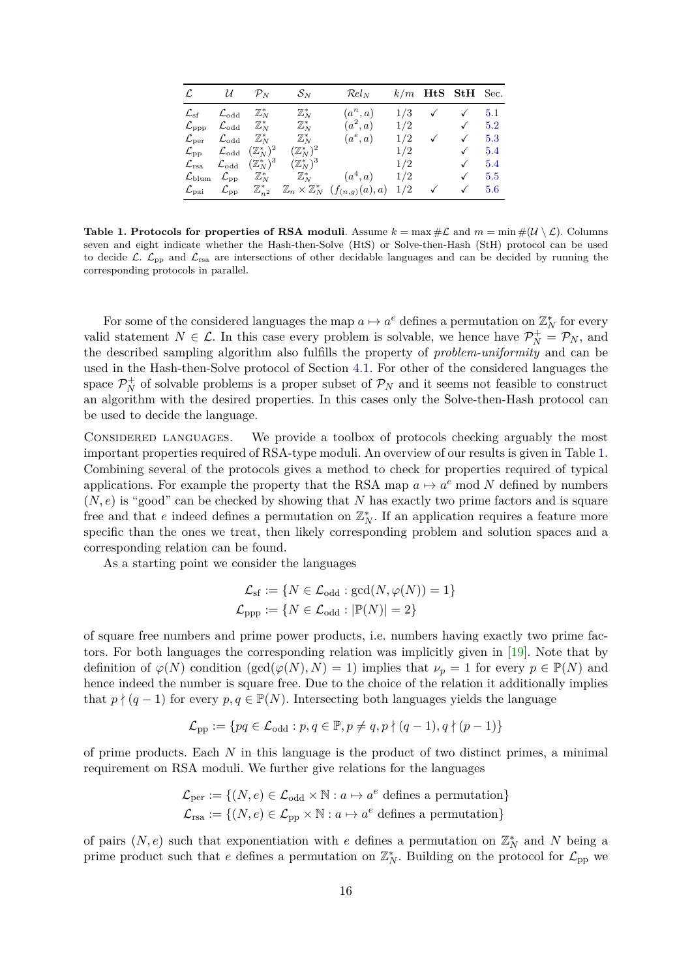|                                                                           |                                                                                | $\mathcal{L}$ $\mathcal{U}$ $\mathcal{P}_N$ $\mathcal{S}_N$ | $\mathcal{R}el_N$                                                                                                                     |     | $k/m$ HtS StH Sec.                                |              |
|---------------------------------------------------------------------------|--------------------------------------------------------------------------------|-------------------------------------------------------------|---------------------------------------------------------------------------------------------------------------------------------------|-----|---------------------------------------------------|--------------|
| $\mathcal{L}_{\mathrm{sf}}$ $\mathcal{L}_{\mathrm{odd}}$ $\mathbb{Z}_N^*$ |                                                                                | $\mathbb{Z}_N^*$                                            | $(a^n, a)$                                                                                                                            |     | $1/3 \quad \checkmark \quad \checkmark \quad 5.1$ |              |
|                                                                           |                                                                                |                                                             | $\mathcal{L}_{\rm ppp}$ $\mathcal{L}_{\rm odd}$ $\mathbb{Z}_N^*$ $\mathbb{Z}_N^*$ $(a^2,a)$                                           |     | $1/2$ $\sqrt{5.2}$                                |              |
| $\mathcal{L}_{\text{per}}$ $\mathcal{L}_{\text{odd}}$ $\mathbb{Z}_N^*$    |                                                                                |                                                             | $\mathbb{Z}_N^*$ $(a^e, a)$                                                                                                           | 1/2 | $\checkmark$                                      | $\sqrt{5.3}$ |
|                                                                           | $\mathcal{L}_{\mathrm{pp}}$ $\mathcal{L}_{\mathrm{odd}}$ $(\mathbb{Z}_N^*)^2$  | $(\mathbb{Z}_N^*)^2$                                        |                                                                                                                                       |     | 1/2                                               | $\sqrt{5.4}$ |
|                                                                           | $\mathcal{L}_{\mathrm{rsa}}$ $\mathcal{L}_{\mathrm{odd}}$ $(\mathbb{Z}_N^*)^3$ |                                                             | $(\mathbb{Z}_N^*)^3$ 1/2                                                                                                              |     |                                                   | $\sqrt{5.4}$ |
|                                                                           |                                                                                |                                                             | $\mathcal{L}_{\text{blum}}$ $\mathcal{L}_{\text{pp}}$ $\mathbb{Z}_N^*$ $\mathbb{Z}_N^*$ $(a^4, a)$ $1/2$                              |     |                                                   | $\sqrt{5.5}$ |
|                                                                           |                                                                                |                                                             | $\mathcal{L}_{\text{pai}}$ $\mathcal{L}_{\text{pp}}$ $\mathbb{Z}_{n^2}^*$ $\mathbb{Z}_n \times \mathbb{Z}_N^*$ $(f_{(n,q)}(a),a)$ 1/2 |     |                                                   | $\sqrt{5.6}$ |

<span id="page-15-0"></span>**Table 1. Protocols for properties of RSA moduli**. Assume  $k = \max \# \mathcal{L}$  and  $m = \min \#(\mathcal{U} \setminus \mathcal{L})$ . Columns seven and eight indicate whether the Hash-then-Solve (HtS) or Solve-then-Hash (StH) protocol can be used to decide  $\mathcal{L}$ .  $\mathcal{L}_{\text{pp}}$  and  $\mathcal{L}_{\text{rsa}}$  are intersections of other decidable languages and can be decided by running the corresponding protocols in parallel.

For some of the considered languages the map  $a \mapsto a^e$  defines a permutation on  $\mathbb{Z}_N^*$  for every valid statement  $N \in \mathcal{L}$ . In this case every problem is solvable, we hence have  $\mathcal{P}_N^+ = \mathcal{P}_N$ , and the described sampling algorithm also fulfills the property of *problem-uniformity* and can be used in the Hash-then-Solve protocol of Section [4.1.](#page-9-0) For other of the considered languages the space  $\mathcal{P}_N^+$  of solvable problems is a proper subset of  $\mathcal{P}_N$  and it seems not feasible to construct an algorithm with the desired properties. In this cases only the Solve-then-Hash protocol can be used to decide the language.

CONSIDERED LANGUAGES. We provide a toolbox of protocols checking arguably the most important properties required of RSA-type moduli. An overview of our results is given in Table [1.](#page-15-0) Combining several of the protocols gives a method to check for properties required of typical applications. For example the property that the RSA map  $a \mapsto a^e \mod N$  defined by numbers (*N, e*) is "good" can be checked by showing that *N* has exactly two prime factors and is square free and that *e* indeed defines a permutation on  $\mathbb{Z}_N^*$ . If an application requires a feature more specific than the ones we treat, then likely corresponding problem and solution spaces and a corresponding relation can be found.

As a starting point we consider the languages

$$
\mathcal{L}_{\mathrm{sf}} := \{ N \in \mathcal{L}_{\mathrm{odd}} : \mathrm{gcd}(N, \varphi(N)) = 1 \}
$$
  

$$
\mathcal{L}_{\mathrm{ppp}} := \{ N \in \mathcal{L}_{\mathrm{odd}} : |\mathbb{P}(N)| = 2 \}
$$

of square free numbers and prime power products, i.e. numbers having exactly two prime factors. For both languages the corresponding relation was implicitly given in [\[19\]](#page-20-6). Note that by definition of  $\varphi(N)$  condition (gcd( $\varphi(N), N$ ) = 1) implies that  $\nu_p = 1$  for every  $p \in \mathbb{P}(N)$  and hence indeed the number is square free. Due to the choice of the relation it additionally implies that  $p \nmid (q-1)$  for every  $p, q \in \mathbb{P}(N)$ . Intersecting both languages yields the language

$$
\mathcal{L}_{\text{pp}} := \{ pq \in \mathcal{L}_{\text{odd}} : p, q \in \mathbb{P}, p \neq q, p \nmid (q-1), q \nmid (p-1) \}
$$

of prime products. Each *N* in this language is the product of two distinct primes, a minimal requirement on RSA moduli. We further give relations for the languages

$$
\mathcal{L}_{\text{per}} := \{ (N, e) \in \mathcal{L}_{\text{odd}} \times \mathbb{N} : a \mapsto a^e \text{ defines a permutation} \}
$$

$$
\mathcal{L}_{\text{rsa}} := \{ (N, e) \in \mathcal{L}_{\text{pp}} \times \mathbb{N} : a \mapsto a^e \text{ defines a permutation} \}
$$

of pairs  $(N, e)$  such that exponentiation with *e* defines a permutation on  $\mathbb{Z}_N^*$  and N being a prime product such that *e* defines a permutation on  $\mathbb{Z}_N^*$ . Building on the protocol for  $\mathcal{L}_{\text{pp}}$  we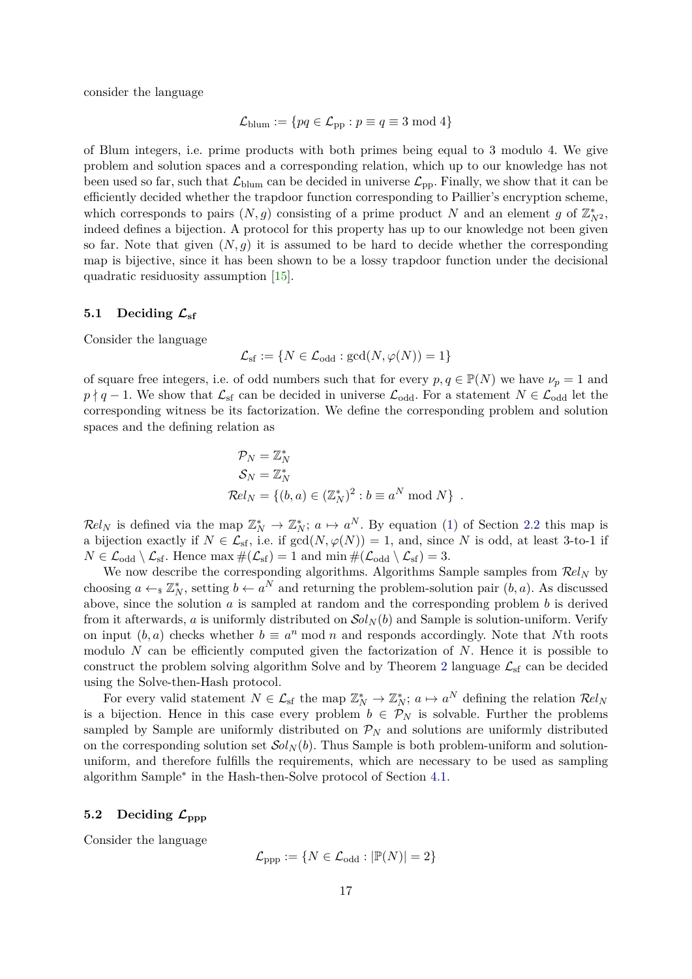consider the language

$$
\mathcal{L}_{\text{blum}} := \{ pq \in \mathcal{L}_{\text{pp}} : p \equiv q \equiv 3 \bmod 4 \}
$$

of Blum integers, i.e. prime products with both primes being equal to 3 modulo 4. We give problem and solution spaces and a corresponding relation, which up to our knowledge has not been used so far, such that  $\mathcal{L}_{\text{blum}}$  can be decided in universe  $\mathcal{L}_{\text{pp}}$ . Finally, we show that it can be efficiently decided whether the trapdoor function corresponding to Paillier's encryption scheme, which corresponds to pairs  $(N, g)$  consisting of a prime product *N* and an element *g* of  $\mathbb{Z}_{N^2}^*$ , indeed defines a bijection. A protocol for this property has up to our knowledge not been given so far. Note that given  $(N, g)$  it is assumed to be hard to decide whether the corresponding map is bijective, since it has been shown to be a lossy trapdoor function under the decisional quadratic residuosity assumption [\[15\]](#page-20-19).

## <span id="page-16-0"></span>5.1 Deciding  $\mathcal{L}_{\text{sf}}$

Consider the language

$$
\mathcal{L}_{\mathrm{sf}} := \{ N \in \mathcal{L}_{\mathrm{odd}} : \mathrm{gcd}(N, \varphi(N)) = 1 \}
$$

of square free integers, i.e. of odd numbers such that for every  $p, q \in \mathbb{P}(N)$  we have  $\nu_p = 1$  and  $p \nmid q-1$ . We show that  $\mathcal{L}_{sf}$  can be decided in universe  $\mathcal{L}_{odd}$ . For a statement  $N \in \mathcal{L}_{odd}$  let the corresponding witness be its factorization. We define the corresponding problem and solution spaces and the defining relation as

$$
\mathcal{P}_N = \mathbb{Z}_N^*
$$
  
\n
$$
\mathcal{S}_N = \mathbb{Z}_N^*
$$
  
\n
$$
\mathcal{R}el_N = \{(b, a) \in (\mathbb{Z}_N^*)^2 : b \equiv a^N \bmod N\}.
$$

 $\mathcal{R}el_N$  is defined via the map  $\mathbb{Z}_N^* \to \mathbb{Z}_N^*$ ;  $a \mapsto a^N$ . By equation [\(1\)](#page-5-2) of Section [2.2](#page-5-3) this map is a bijection exactly if  $N \in \mathcal{L}_{sf}$ , i.e. if  $gcd(N, \varphi(N)) = 1$ , and, since *N* is odd, at least 3-to-1 if  $N \in \mathcal{L}_{odd} \setminus \mathcal{L}_{sf}$ . Hence max  $\#(\mathcal{L}_{sf}) = 1$  and min  $\#(\mathcal{L}_{odd} \setminus \mathcal{L}_{sf}) = 3$ .

We now describe the corresponding algorithms. Algorithms Sample samples from R*el<sup>N</sup>* by choosing  $a \leftarrow_{\mathbb{S}} \mathbb{Z}_N^*$ , setting  $b \leftarrow a^N$  and returning the problem-solution pair  $(b, a)$ . As discussed above, since the solution *a* is sampled at random and the corresponding problem *b* is derived from it afterwards, *a* is uniformly distributed on  $\mathcal{S}ol_N(b)$  and Sample is solution-uniform. Verify on input  $(b, a)$  checks whether  $b \equiv a^n \mod n$  and responds accordingly. Note that *N*th roots modulo *N* can be efficiently computed given the factorization of *N*. Hence it is possible to construct the problem solving algorithm Solve and by Theorem [2](#page-11-1) language  $\mathcal{L}_{sf}$  can be decided using the Solve-then-Hash protocol.

For every valid statement  $N \in \mathcal{L}_{sf}$  the map  $\mathbb{Z}_N^* \to \mathbb{Z}_N^*$ ;  $a \mapsto a^N$  defining the relation  $\mathcal{R}el_N$ is a bijection. Hence in this case every problem  $b \in \mathcal{P}_N$  is solvable. Further the problems sampled by Sample are uniformly distributed on  $\mathcal{P}_N$  and solutions are uniformly distributed on the corresponding solution set  $\mathcal{S}ol_N(b)$ . Thus Sample is both problem-uniform and solutionuniform, and therefore fulfills the requirements, which are necessary to be used as sampling algorithm Sample<sup>∗</sup> in the Hash-then-Solve protocol of Section [4.1.](#page-9-0)

## <span id="page-16-1"></span>5.2 Deciding  $\mathcal{L}_{\text{ppp}}$

Consider the language

$$
\mathcal{L}_{\mathrm{ppp}} := \{ N \in \mathcal{L}_{\mathrm{odd}} : |\mathbb{P}(N)| = 2 \}
$$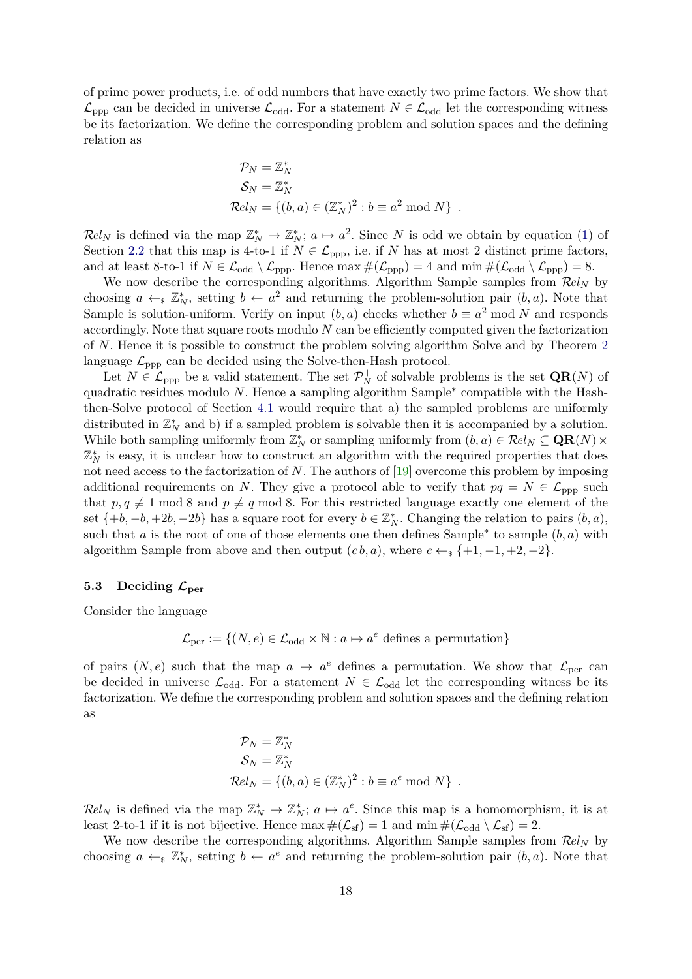of prime power products, i.e. of odd numbers that have exactly two prime factors. We show that  $\mathcal{L}_{\text{opp}}$  can be decided in universe  $\mathcal{L}_{\text{odd}}$ . For a statement  $N \in \mathcal{L}_{\text{odd}}$  let the corresponding witness be its factorization. We define the corresponding problem and solution spaces and the defining relation as

$$
\mathcal{P}_N = \mathbb{Z}_N^*
$$
  
\n
$$
\mathcal{S}_N = \mathbb{Z}_N^*
$$
  
\n
$$
\mathcal{R}el_N = \{(b, a) \in (\mathbb{Z}_N^*)^2 : b \equiv a^2 \bmod N\}.
$$

 $\mathcal{R}el_N$  is defined via the map  $\mathbb{Z}_N^* \to \mathbb{Z}_N^*$ ;  $a \mapsto a^2$ . Since N is odd we obtain by equation [\(1\)](#page-5-2) of Section [2.2](#page-5-3) that this map is 4-to-1 if  $N \in \mathcal{L}_{\text{ppp}}$ , i.e. if *N* has at most 2 distinct prime factors, and at least 8-to-1 if  $N \in \mathcal{L}_{odd} \setminus \mathcal{L}_{ppp}$ . Hence  $\max \#(\mathcal{L}_{ppp}) = 4$  and  $\min \#(\mathcal{L}_{odd} \setminus \mathcal{L}_{ppp}) = 8$ .

We now describe the corresponding algorithms. Algorithm Sample samples from R*el<sup>N</sup>* by choosing  $a \leftarrow_s \mathbb{Z}_N^*$ , setting  $b \leftarrow a^2$  and returning the problem-solution pair  $(b, a)$ . Note that Sample is solution-uniform. Verify on input  $(b, a)$  checks whether  $b \equiv a^2 \mod N$  and responds accordingly. Note that square roots modulo *N* can be efficiently computed given the factorization of *N*. Hence it is possible to construct the problem solving algorithm Solve and by Theorem [2](#page-11-1) language  $\mathcal{L}_{\text{ppp}}$  can be decided using the Solve-then-Hash protocol.

Let  $N \in \mathcal{L}_{\text{ppp}}$  be a valid statement. The set  $\mathcal{P}_N^+$  of solvable problems is the set  $\mathbf{QR}(N)$  of quadratic residues modulo *N*. Hence a sampling algorithm Sample<sup>\*</sup> compatible with the Hashthen-Solve protocol of Section [4.1](#page-9-0) would require that a) the sampled problems are uniformly distributed in  $\mathbb{Z}_N^*$  and b) if a sampled problem is solvable then it is accompanied by a solution. While both sampling uniformly from  $\mathbb{Z}_N^*$  or sampling uniformly from  $(b, a) \in \mathcal{R}el_N \subseteq \mathbf{QR}(N) \times$  $\mathbb{Z}_N^*$  is easy, it is unclear how to construct an algorithm with the required properties that does not need access to the factorization of *N*. The authors of [\[19\]](#page-20-6) overcome this problem by imposing additional requirements on *N*. They give a protocol able to verify that  $pq = N \in \mathcal{L}_{\text{ppp}}$  such that  $p, q \not\equiv 1 \mod 8$  and  $p \not\equiv q \mod 8$ . For this restricted language exactly one element of the set  $\{+b, -b, +2b, -2b\}$  has a square root for every  $b \in \mathbb{Z}_N^*$ . Changing the relation to pairs  $(b, a)$ , such that *a* is the root of one of those elements one then defines Sample<sup>\*</sup> to sample  $(b, a)$  with algorithm Sample from above and then output  $(c, b, a)$ , where  $c \leftarrow s \{+1, -1, +2, -2\}$ .

#### <span id="page-17-0"></span>5.3 Deciding  $\mathcal{L}_{\text{per}}$

Consider the language

$$
\mathcal{L}_{\text{per}} := \{ (N, e) \in \mathcal{L}_{\text{odd}} \times \mathbb{N} : a \mapsto a^e \text{ defines a permutation} \}
$$

of pairs  $(N, e)$  such that the map  $a \mapsto a^e$  defines a permutation. We show that  $\mathcal{L}_{per}$  can be decided in universe  $\mathcal{L}_{odd}$ . For a statement  $N \in \mathcal{L}_{odd}$  let the corresponding witness be its factorization. We define the corresponding problem and solution spaces and the defining relation as

$$
\mathcal{P}_N = \mathbb{Z}_N^*
$$
  
\n
$$
\mathcal{S}_N = \mathbb{Z}_N^*
$$
  
\n
$$
\mathcal{R}el_N = \{(b, a) \in (\mathbb{Z}_N^*)^2 : b \equiv a^e \bmod N\}.
$$

 $\mathcal{R}el_N$  is defined via the map  $\mathbb{Z}_N^* \to \mathbb{Z}_N^*$ ;  $a \mapsto a^e$ . Since this map is a homomorphism, it is at least 2-to-1 if it is not bijective. Hence  $\max \#(\mathcal{L}_{sf}) = 1$  and  $\min \#(\mathcal{L}_{odd} \setminus \mathcal{L}_{sf}) = 2$ .

We now describe the corresponding algorithms. Algorithm Sample samples from  $\mathcal{R}el_N$  by choosing  $a \leftarrow_{s} \mathbb{Z}_{N}^{*}$ , setting  $b \leftarrow a^{e}$  and returning the problem-solution pair  $(b, a)$ . Note that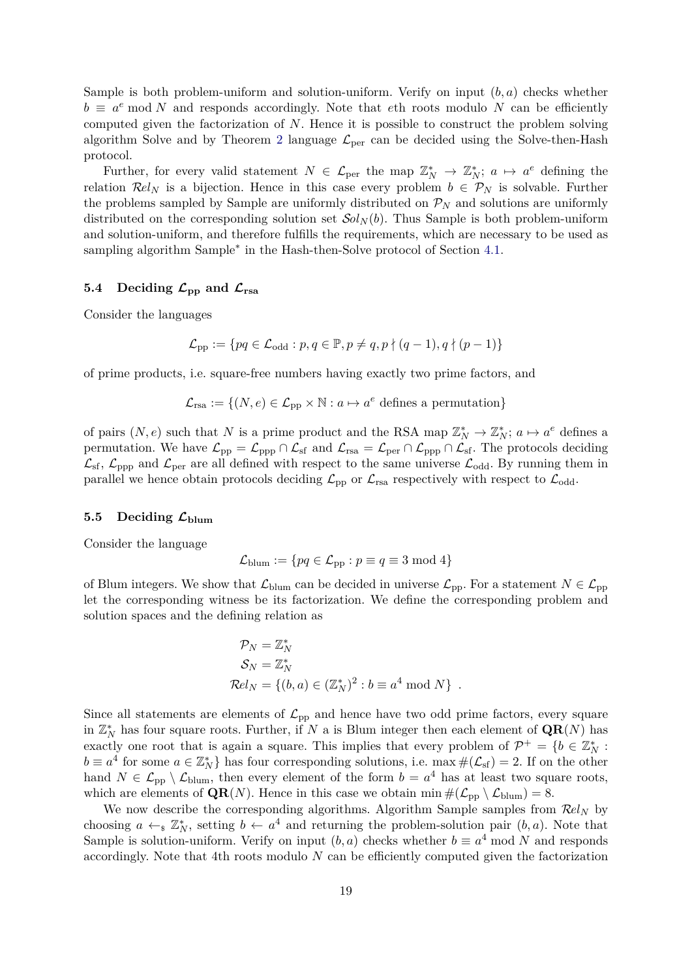Sample is both problem-uniform and solution-uniform. Verify on input (*b, a*) checks whether  $b \equiv a^e \mod N$  and responds accordingly. Note that *eth* roots modulo *N* can be efficiently computed given the factorization of *N*. Hence it is possible to construct the problem solving algorithm Solve and by Theorem [2](#page-11-1) language  $\mathcal{L}_{\text{per}}$  can be decided using the Solve-then-Hash protocol.

Further, for every valid statement  $N \in \mathcal{L}_{per}$  the map  $\mathbb{Z}_N^* \to \mathbb{Z}_N^*$ ;  $a \mapsto a^e$  defining the relation  $\mathcal{R}el_N$  is a bijection. Hence in this case every problem  $b \in \mathcal{P}_N$  is solvable. Further the problems sampled by Sample are uniformly distributed on  $\mathcal{P}_N$  and solutions are uniformly distributed on the corresponding solution set  $\mathcal{S}ol_N(b)$ . Thus Sample is both problem-uniform and solution-uniform, and therefore fulfills the requirements, which are necessary to be used as sampling algorithm Sample<sup>\*</sup> in the Hash-then-Solve protocol of Section [4.1.](#page-9-0)

## <span id="page-18-0"></span>5.4 Deciding  $\mathcal{L}_{\text{pp}}$  and  $\mathcal{L}_{\text{rsa}}$

Consider the languages

$$
\mathcal{L}_{\text{pp}} := \{ pq \in \mathcal{L}_{\text{odd}} : p, q \in \mathbb{P}, p \neq q, p \nmid (q-1), q \nmid (p-1) \}
$$

of prime products, i.e. square-free numbers having exactly two prime factors, and

$$
\mathcal{L}_{\text{rsa}} := \{ (N, e) \in \mathcal{L}_{\text{pp}} \times \mathbb{N} : a \mapsto a^e \text{ defines a permutation} \}
$$

of pairs  $(N, e)$  such that *N* is a prime product and the RSA map  $\mathbb{Z}_N^* \to \mathbb{Z}_N^*$ ;  $a \mapsto a^e$  defines a permutation. We have  $\mathcal{L}_{\text{pp}} = \mathcal{L}_{\text{ppp}} \cap \mathcal{L}_{\text{sf}}$  and  $\mathcal{L}_{\text{rsa}} = \mathcal{L}_{\text{per}} \cap \mathcal{L}_{\text{pp}} \cap \mathcal{L}_{\text{sf}}$ . The protocols deciding  $\mathcal{L}_{\text{sf}}$ ,  $\mathcal{L}_{\text{opp}}$  and  $\mathcal{L}_{\text{per}}$  are all defined with respect to the same universe  $\mathcal{L}_{\text{odd}}$ . By running them in parallel we hence obtain protocols deciding  $\mathcal{L}_{\text{pp}}$  or  $\mathcal{L}_{\text{rsa}}$  respectively with respect to  $\mathcal{L}_{\text{odd}}$ .

#### <span id="page-18-1"></span>5.5 Deciding  $\mathcal{L}_{\text{blum}}$

Consider the language

$$
\mathcal{L}_{\text{blum}} := \{ pq \in \mathcal{L}_{\text{pp}} : p \equiv q \equiv 3 \bmod 4 \}
$$

of Blum integers. We show that  $\mathcal{L}_{\text{blum}}$  can be decided in universe  $\mathcal{L}_{\text{pp}}$ . For a statement  $N \in \mathcal{L}_{\text{pp}}$ let the corresponding witness be its factorization. We define the corresponding problem and solution spaces and the defining relation as

$$
\mathcal{P}_N = \mathbb{Z}_N^*
$$
  
\n
$$
\mathcal{S}_N = \mathbb{Z}_N^*
$$
  
\n
$$
\mathcal{R}el_N = \{(b, a) \in (\mathbb{Z}_N^*)^2 : b \equiv a^4 \bmod N\} .
$$

Since all statements are elements of  $\mathcal{L}_{\text{pp}}$  and hence have two odd prime factors, every square in  $\mathbb{Z}_N^*$  has four square roots. Further, if *N* a is Blum integer then each element of  $\mathbf{QR}(N)$  has exactly one root that is again a square. This implies that every problem of  $\mathcal{P}^+ = \{b \in \mathbb{Z}_N^* :$  $b \equiv a^4$  for some  $a \in \mathbb{Z}_N^*$  has four corresponding solutions, i.e. max  $\#(\mathcal{L}_{sf}) = 2$ . If on the other hand  $N \in \mathcal{L}_{\text{pp}} \setminus \mathcal{L}_{\text{blum}}$ , then every element of the form  $b = a^4$  has at least two square roots, which are elements of  $QR(N)$ . Hence in this case we obtain min  $\#(\mathcal{L}_{\text{pp}} \setminus \mathcal{L}_{\text{blum}}) = 8$ .

We now describe the corresponding algorithms. Algorithm Sample samples from R*el<sup>N</sup>* by choosing  $a \leftarrow s \mathbb{Z}_N^*$ , setting  $b \leftarrow a^4$  and returning the problem-solution pair  $(b, a)$ . Note that Sample is solution-uniform. Verify on input  $(b, a)$  checks whether  $b \equiv a^4 \mod N$  and responds accordingly. Note that 4th roots modulo *N* can be efficiently computed given the factorization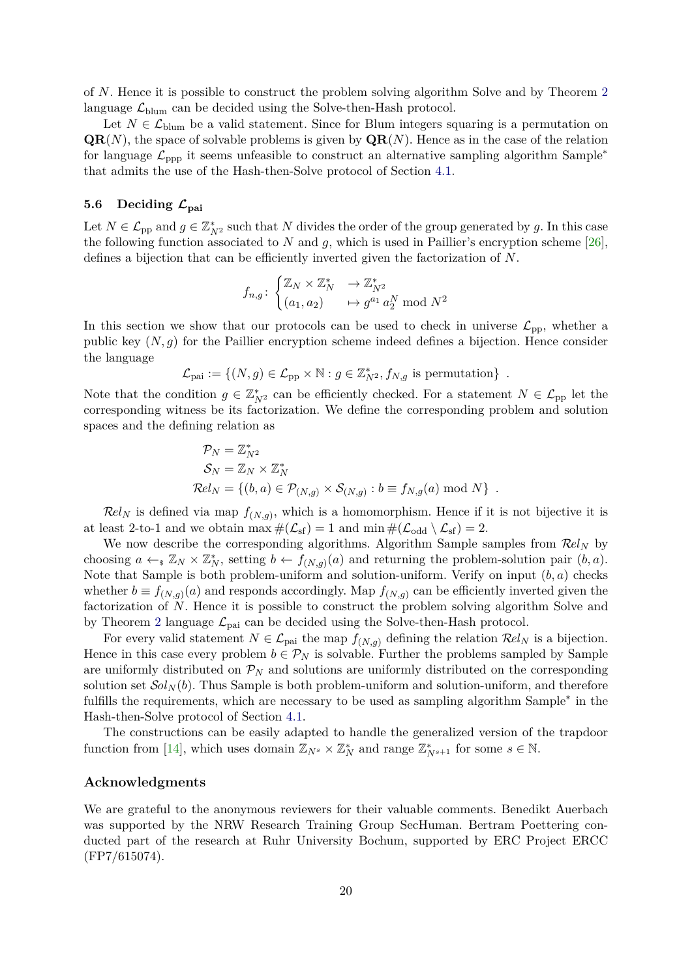of *N*. Hence it is possible to construct the problem solving algorithm Solve and by Theorem [2](#page-11-1) language  $\mathcal{L}_{\text{blum}}$  can be decided using the Solve-then-Hash protocol.

Let  $N \in \mathcal{L}_{\text{blum}}$  be a valid statement. Since for Blum integers squaring is a permutation on  $\mathbf{QR}(N)$ , the space of solvable problems is given by  $\mathbf{QR}(N)$ . Hence as in the case of the relation for language  $\mathcal{L}_{\text{opp}}$  it seems unfeasible to construct an alternative sampling algorithm Sample<sup>\*</sup> that admits the use of the Hash-then-Solve protocol of Section [4.1.](#page-9-0)

#### <span id="page-19-0"></span>**5.6 Deciding Lpai**

Let  $N \in \mathcal{L}_{\text{pp}}$  and  $g \in \mathbb{Z}_{N^2}^*$  such that  $N$  divides the order of the group generated by  $g$ . In this case the following function associated to  $N$  and  $g$ , which is used in Paillier's encryption scheme [\[26\]](#page-21-12), defines a bijection that can be efficiently inverted given the factorization of *N*.

$$
f_{n,g} \colon \begin{cases} \mathbb{Z}_N \times \mathbb{Z}_N^* & \to \mathbb{Z}_{N^2}^* \\ (a_1, a_2) & \mapsto g^{a_1} a_2^N \text{ mod } N^2 \end{cases}
$$

In this section we show that our protocols can be used to check in universe  $\mathcal{L}_{\text{pp}}$ , whether a public key (*N, g*) for the Paillier encryption scheme indeed defines a bijection. Hence consider the language

$$
\mathcal{L}_{\text{pai}} := \{ (N, g) \in \mathcal{L}_{\text{pp}} \times \mathbb{N} : g \in \mathbb{Z}_{N^2}^*, f_{N,g} \text{ is permutation} \} .
$$

Note that the condition  $g \in \mathbb{Z}_{N^2}^*$  can be efficiently checked. For a statement  $N \in \mathcal{L}_{\text{pp}}$  let the corresponding witness be its factorization. We define the corresponding problem and solution spaces and the defining relation as

$$
\mathcal{P}_N = \mathbb{Z}_{N^2}^*
$$
  
\n
$$
\mathcal{S}_N = \mathbb{Z}_N \times \mathbb{Z}_N^*
$$
  
\n
$$
\mathcal{R}el_N = \{(b, a) \in \mathcal{P}_{(N,g)} \times \mathcal{S}_{(N,g)} : b \equiv f_{N,g}(a) \bmod N\}.
$$

 $\mathcal{R}el_N$  is defined via map  $f_{(N,g)}$ , which is a homomorphism. Hence if it is not bijective it is at least 2-to-1 and we obtain  $\max \#(\mathcal{L}_{sf}) = 1$  and  $\min \#(\mathcal{L}_{odd} \setminus \mathcal{L}_{sf}) = 2$ .

We now describe the corresponding algorithms. Algorithm Sample samples from R*el<sup>N</sup>* by choosing  $a \leftarrow_{\mathbb{R}} \mathbb{Z}_N \times \mathbb{Z}_N^*$ , setting  $b \leftarrow f_{(N,g)}(a)$  and returning the problem-solution pair  $(b, a)$ . Note that Sample is both problem-uniform and solution-uniform. Verify on input (*b, a*) checks whether  $b \equiv f_{(N,g)}(a)$  and responds accordingly. Map  $f_{(N,g)}$  can be efficiently inverted given the factorization of *N*. Hence it is possible to construct the problem solving algorithm Solve and by Theorem [2](#page-11-1) language  $\mathcal{L}_{\text{pai}}$  can be decided using the Solve-then-Hash protocol.

For every valid statement  $N \in \mathcal{L}_{\text{pai}}$  the map  $f_{(N,g)}$  defining the relation  $\mathcal{R}el_N$  is a bijection. Hence in this case every problem  $b \in \mathcal{P}_N$  is solvable. Further the problems sampled by Sample are uniformly distributed on  $\mathcal{P}_N$  and solutions are uniformly distributed on the corresponding solution set  $Sol<sub>N</sub>(b)$ . Thus Sample is both problem-uniform and solution-uniform, and therefore fulfills the requirements, which are necessary to be used as sampling algorithm Sample<sup>\*</sup> in the Hash-then-Solve protocol of Section [4.1.](#page-9-0)

The constructions can be easily adapted to handle the generalized version of the trapdoor function from [\[14\]](#page-20-20), which uses domain  $\mathbb{Z}_{N^s} \times \mathbb{Z}_N^*$  and range  $\mathbb{Z}_{N^{s+1}}^*$  for some  $s \in \mathbb{N}$ .

#### **Acknowledgments**

We are grateful to the anonymous reviewers for their valuable comments. Benedikt Auerbach was supported by the NRW Research Training Group SecHuman. Bertram Poettering conducted part of the research at Ruhr University Bochum, supported by ERC Project ERCC (FP7/615074).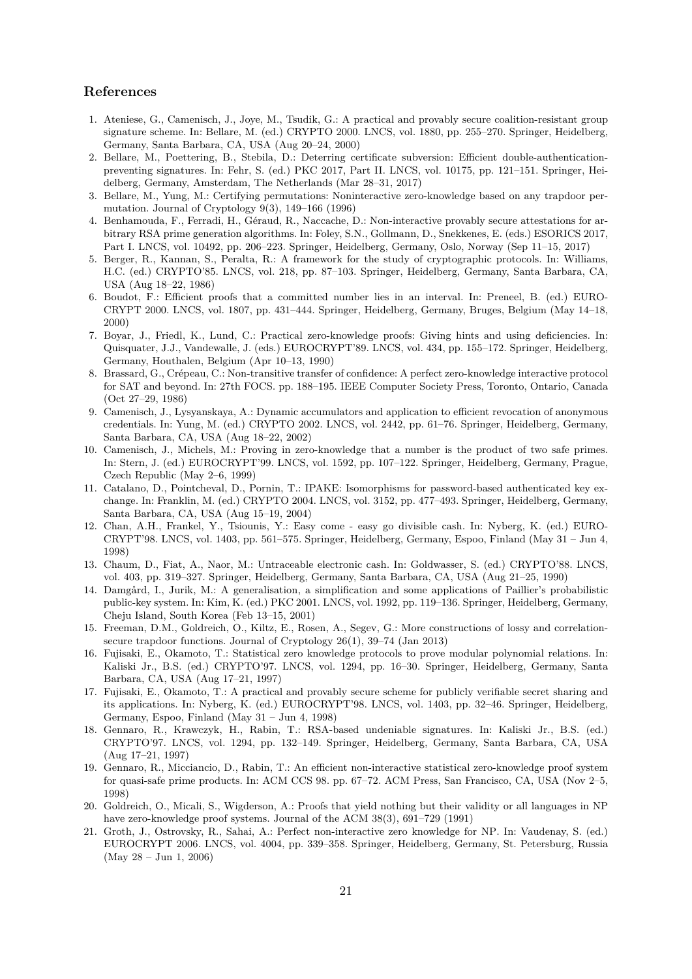## **References**

- <span id="page-20-0"></span>1. Ateniese, G., Camenisch, J., Joye, M., Tsudik, G.: A practical and provably secure coalition-resistant group signature scheme. In: Bellare, M. (ed.) CRYPTO 2000. LNCS, vol. 1880, pp. 255–270. Springer, Heidelberg, Germany, Santa Barbara, CA, USA (Aug 20–24, 2000)
- <span id="page-20-4"></span>2. Bellare, M., Poettering, B., Stebila, D.: Deterring certificate subversion: Efficient double-authenticationpreventing signatures. In: Fehr, S. (ed.) PKC 2017, Part II. LNCS, vol. 10175, pp. 121–151. Springer, Heidelberg, Germany, Amsterdam, The Netherlands (Mar 28–31, 2017)
- <span id="page-20-17"></span>3. Bellare, M., Yung, M.: Certifying permutations: Noninteractive zero-knowledge based on any trapdoor permutation. Journal of Cryptology 9(3), 149–166 (1996)
- <span id="page-20-18"></span>4. Benhamouda, F., Ferradi, H., Géraud, R., Naccache, D.: Non-interactive provably secure attestations for arbitrary RSA prime generation algorithms. In: Foley, S.N., Gollmann, D., Snekkenes, E. (eds.) ESORICS 2017, Part I. LNCS, vol. 10492, pp. 206–223. Springer, Heidelberg, Germany, Oslo, Norway (Sep 11–15, 2017)
- <span id="page-20-16"></span>5. Berger, R., Kannan, S., Peralta, R.: A framework for the study of cryptographic protocols. In: Williams, H.C. (ed.) CRYPTO'85. LNCS, vol. 218, pp. 87–103. Springer, Heidelberg, Germany, Santa Barbara, CA, USA (Aug 18–22, 1986)
- <span id="page-20-11"></span>6. Boudot, F.: Efficient proofs that a committed number lies in an interval. In: Preneel, B. (ed.) EURO-CRYPT 2000. LNCS, vol. 1807, pp. 431–444. Springer, Heidelberg, Germany, Bruges, Belgium (May 14–18, 2000)
- <span id="page-20-15"></span>7. Boyar, J., Friedl, K., Lund, C.: Practical zero-knowledge proofs: Giving hints and using deficiencies. In: Quisquater, J.J., Vandewalle, J. (eds.) EUROCRYPT'89. LNCS, vol. 434, pp. 155–172. Springer, Heidelberg, Germany, Houthalen, Belgium (Apr 10–13, 1990)
- <span id="page-20-8"></span>8. Brassard, G., Crépeau, C.: Non-transitive transfer of confidence: A perfect zero-knowledge interactive protocol for SAT and beyond. In: 27th FOCS. pp. 188–195. IEEE Computer Society Press, Toronto, Ontario, Canada (Oct 27–29, 1986)
- <span id="page-20-2"></span>9. Camenisch, J., Lysyanskaya, A.: Dynamic accumulators and application to efficient revocation of anonymous credentials. In: Yung, M. (ed.) CRYPTO 2002. LNCS, vol. 2442, pp. 61–76. Springer, Heidelberg, Germany, Santa Barbara, CA, USA (Aug 18–22, 2002)
- <span id="page-20-5"></span>10. Camenisch, J., Michels, M.: Proving in zero-knowledge that a number is the product of two safe primes. In: Stern, J. (ed.) EUROCRYPT'99. LNCS, vol. 1592, pp. 107–122. Springer, Heidelberg, Germany, Prague, Czech Republic (May 2–6, 1999)
- <span id="page-20-7"></span>11. Catalano, D., Pointcheval, D., Pornin, T.: IPAKE: Isomorphisms for password-based authenticated key exchange. In: Franklin, M. (ed.) CRYPTO 2004. LNCS, vol. 3152, pp. 477–493. Springer, Heidelberg, Germany, Santa Barbara, CA, USA (Aug 15–19, 2004)
- <span id="page-20-12"></span>12. Chan, A.H., Frankel, Y., Tsiounis, Y.: Easy come - easy go divisible cash. In: Nyberg, K. (ed.) EURO-CRYPT'98. LNCS, vol. 1403, pp. 561–575. Springer, Heidelberg, Germany, Espoo, Finland (May 31 – Jun 4, 1998)
- <span id="page-20-1"></span>13. Chaum, D., Fiat, A., Naor, M.: Untraceable electronic cash. In: Goldwasser, S. (ed.) CRYPTO'88. LNCS, vol. 403, pp. 319–327. Springer, Heidelberg, Germany, Santa Barbara, CA, USA (Aug 21–25, 1990)
- <span id="page-20-20"></span>14. Damgård, I., Jurik, M.: A generalisation, a simplification and some applications of Paillier's probabilistic public-key system. In: Kim, K. (ed.) PKC 2001. LNCS, vol. 1992, pp. 119–136. Springer, Heidelberg, Germany, Cheju Island, South Korea (Feb 13–15, 2001)
- <span id="page-20-19"></span>15. Freeman, D.M., Goldreich, O., Kiltz, E., Rosen, A., Segev, G.: More constructions of lossy and correlationsecure trapdoor functions. Journal of Cryptology 26(1), 39–74 (Jan 2013)
- <span id="page-20-13"></span>16. Fujisaki, E., Okamoto, T.: Statistical zero knowledge protocols to prove modular polynomial relations. In: Kaliski Jr., B.S. (ed.) CRYPTO'97. LNCS, vol. 1294, pp. 16–30. Springer, Heidelberg, Germany, Santa Barbara, CA, USA (Aug 17–21, 1997)
- <span id="page-20-14"></span>17. Fujisaki, E., Okamoto, T.: A practical and provably secure scheme for publicly verifiable secret sharing and its applications. In: Nyberg, K. (ed.) EUROCRYPT'98. LNCS, vol. 1403, pp. 32–46. Springer, Heidelberg, Germany, Espoo, Finland (May 31 – Jun 4, 1998)
- <span id="page-20-3"></span>18. Gennaro, R., Krawczyk, H., Rabin, T.: RSA-based undeniable signatures. In: Kaliski Jr., B.S. (ed.) CRYPTO'97. LNCS, vol. 1294, pp. 132–149. Springer, Heidelberg, Germany, Santa Barbara, CA, USA (Aug 17–21, 1997)
- <span id="page-20-6"></span>19. Gennaro, R., Micciancio, D., Rabin, T.: An efficient non-interactive statistical zero-knowledge proof system for quasi-safe prime products. In: ACM CCS 98. pp. 67–72. ACM Press, San Francisco, CA, USA (Nov 2–5, 1998)
- <span id="page-20-9"></span>20. Goldreich, O., Micali, S., Wigderson, A.: Proofs that yield nothing but their validity or all languages in NP have zero-knowledge proof systems. Journal of the ACM 38(3), 691–729 (1991)
- <span id="page-20-10"></span>21. Groth, J., Ostrovsky, R., Sahai, A.: Perfect non-interactive zero knowledge for NP. In: Vaudenay, S. (ed.) EUROCRYPT 2006. LNCS, vol. 4004, pp. 339–358. Springer, Heidelberg, Germany, St. Petersburg, Russia (May 28 – Jun 1, 2006)